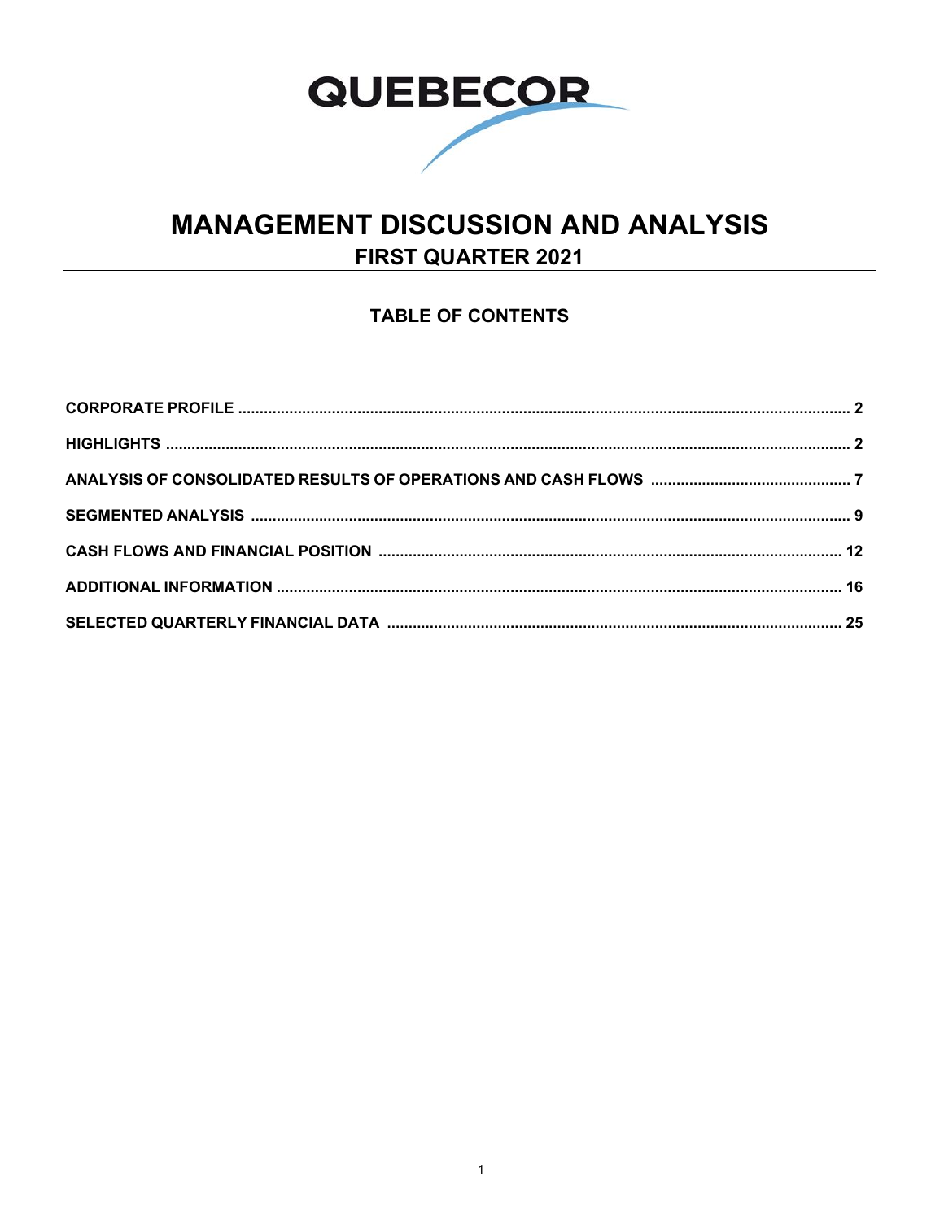

# **MANAGEMENT DISCUSSION AND ANALYSIS FIRST QUARTER 2021**

## **TABLE OF CONTENTS**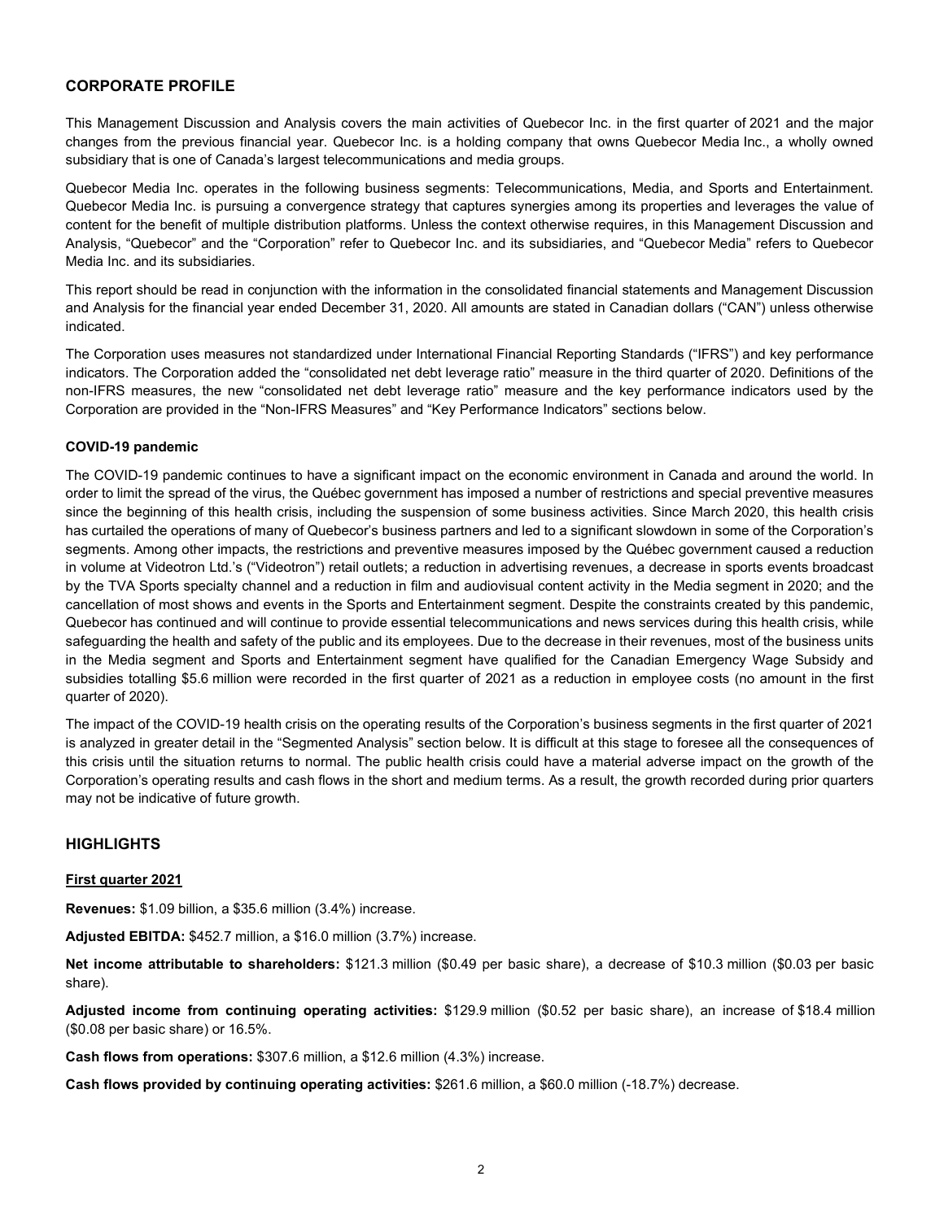## **CORPORATE PROFILE**

This Management Discussion and Analysis covers the main activities of Quebecor Inc. in the first quarter of 2021 and the major changes from the previous financial year. Quebecor Inc. is a holding company that owns Quebecor Media Inc., a wholly owned subsidiary that is one of Canada's largest telecommunications and media groups.

Quebecor Media Inc. operates in the following business segments: Telecommunications, Media, and Sports and Entertainment. Quebecor Media Inc. is pursuing a convergence strategy that captures synergies among its properties and leverages the value of content for the benefit of multiple distribution platforms. Unless the context otherwise requires, in this Management Discussion and Analysis, "Quebecor" and the "Corporation" refer to Quebecor Inc. and its subsidiaries, and "Quebecor Media" refers to Quebecor Media Inc. and its subsidiaries.

This report should be read in conjunction with the information in the consolidated financial statements and Management Discussion and Analysis for the financial year ended December 31, 2020. All amounts are stated in Canadian dollars ("CAN") unless otherwise indicated.

The Corporation uses measures not standardized under International Financial Reporting Standards ("IFRS") and key performance indicators. The Corporation added the "consolidated net debt leverage ratio" measure in the third quarter of 2020. Definitions of the non-IFRS measures, the new "consolidated net debt leverage ratio" measure and the key performance indicators used by the Corporation are provided in the "Non-IFRS Measures" and "Key Performance Indicators" sections below.

#### **COVID-19 pandemic**

The COVID-19 pandemic continues to have a significant impact on the economic environment in Canada and around the world. In order to limit the spread of the virus, the Québec government has imposed a number of restrictions and special preventive measures since the beginning of this health crisis, including the suspension of some business activities. Since March 2020, this health crisis has curtailed the operations of many of Quebecor's business partners and led to a significant slowdown in some of the Corporation's segments. Among other impacts, the restrictions and preventive measures imposed by the Québec government caused a reduction in volume at Videotron Ltd.'s ("Videotron") retail outlets; a reduction in advertising revenues, a decrease in sports events broadcast by the TVA Sports specialty channel and a reduction in film and audiovisual content activity in the Media segment in 2020; and the cancellation of most shows and events in the Sports and Entertainment segment. Despite the constraints created by this pandemic, Quebecor has continued and will continue to provide essential telecommunications and news services during this health crisis, while safeguarding the health and safety of the public and its employees. Due to the decrease in their revenues, most of the business units in the Media segment and Sports and Entertainment segment have qualified for the Canadian Emergency Wage Subsidy and subsidies totalling \$5.6 million were recorded in the first quarter of 2021 as a reduction in employee costs (no amount in the first quarter of 2020).

The impact of the COVID-19 health crisis on the operating results of the Corporation's business segments in the first quarter of 2021 is analyzed in greater detail in the "Segmented Analysis" section below. It is difficult at this stage to foresee all the consequences of this crisis until the situation returns to normal. The public health crisis could have a material adverse impact on the growth of the Corporation's operating results and cash flows in the short and medium terms. As a result, the growth recorded during prior quarters may not be indicative of future growth.

## **HIGHLIGHTS**

#### **First quarter 2021**

**Revenues:** \$1.09 billion, a \$35.6 million (3.4%) increase.

**Adjusted EBITDA:** \$452.7 million, a \$16.0 million (3.7%) increase.

**Net income attributable to shareholders:** \$121.3 million (\$0.49 per basic share), a decrease of \$10.3 million (\$0.03 per basic share).

**Adjusted income from continuing operating activities:** \$129.9 million (\$0.52 per basic share), an increase of \$18.4 million (\$0.08 per basic share) or 16.5%.

**Cash flows from operations:** \$307.6 million, a \$12.6 million (4.3%) increase.

**Cash flows provided by continuing operating activities:** \$261.6 million, a \$60.0 million (-18.7%) decrease.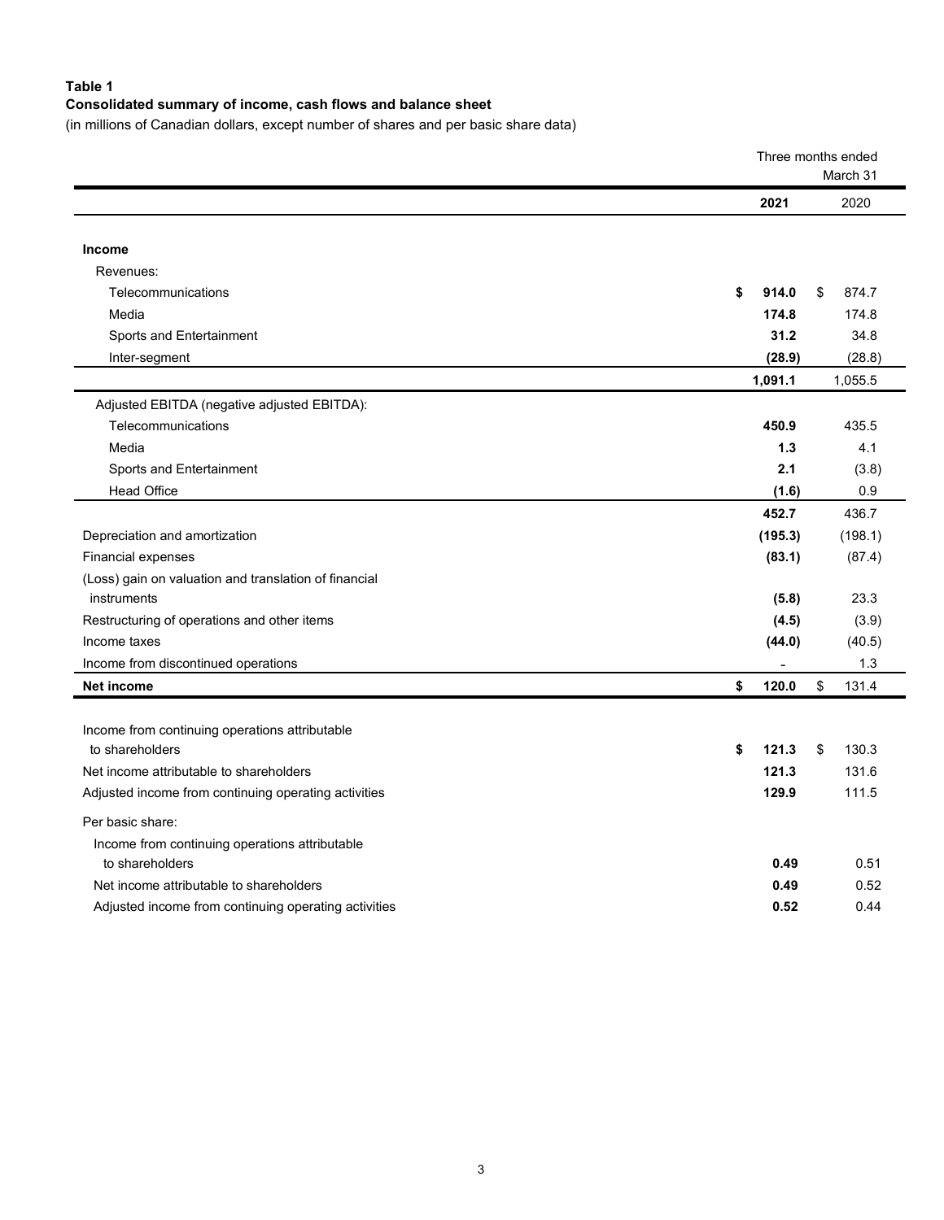## **Table 1**

## **Consolidated summary of income, cash flows and balance sheet**

(in millions of Canadian dollars, except number of shares and per basic share data)

|                                                       |             | Three months ended<br>March 31 |
|-------------------------------------------------------|-------------|--------------------------------|
|                                                       | 2021        | 2020                           |
|                                                       |             |                                |
| Income                                                |             |                                |
| Revenues:                                             |             |                                |
| Telecommunications                                    | \$<br>914.0 | 874.7<br>\$                    |
| Media                                                 | 174.8       | 174.8                          |
| Sports and Entertainment                              | 31.2        | 34.8                           |
| Inter-segment                                         | (28.9)      | (28.8)                         |
|                                                       | 1,091.1     | 1,055.5                        |
| Adjusted EBITDA (negative adjusted EBITDA):           |             |                                |
| Telecommunications                                    | 450.9       | 435.5                          |
| Media                                                 | 1.3         | 4.1                            |
| Sports and Entertainment                              | 2.1         | (3.8)                          |
| <b>Head Office</b>                                    | (1.6)       | 0.9                            |
|                                                       | 452.7       | 436.7                          |
| Depreciation and amortization                         | (195.3)     | (198.1)                        |
| Financial expenses                                    | (83.1)      | (87.4)                         |
| (Loss) gain on valuation and translation of financial |             |                                |
| instruments                                           | (5.8)       | 23.3                           |
| Restructuring of operations and other items           | (4.5)       | (3.9)                          |
| Income taxes                                          | (44.0)      | (40.5)                         |
| Income from discontinued operations                   |             | 1.3                            |
| <b>Net income</b>                                     | \$<br>120.0 | \$<br>131.4                    |
|                                                       |             |                                |
| Income from continuing operations attributable        |             |                                |
| to shareholders                                       | \$<br>121.3 | \$<br>130.3                    |
| Net income attributable to shareholders               | 121.3       | 131.6                          |
| Adjusted income from continuing operating activities  | 129.9       | 111.5                          |
| Per basic share:                                      |             |                                |
| Income from continuing operations attributable        |             |                                |
| to shareholders                                       | 0.49        | 0.51                           |
| Net income attributable to shareholders               | 0.49        | 0.52                           |
| Adjusted income from continuing operating activities  | 0.52        | 0.44                           |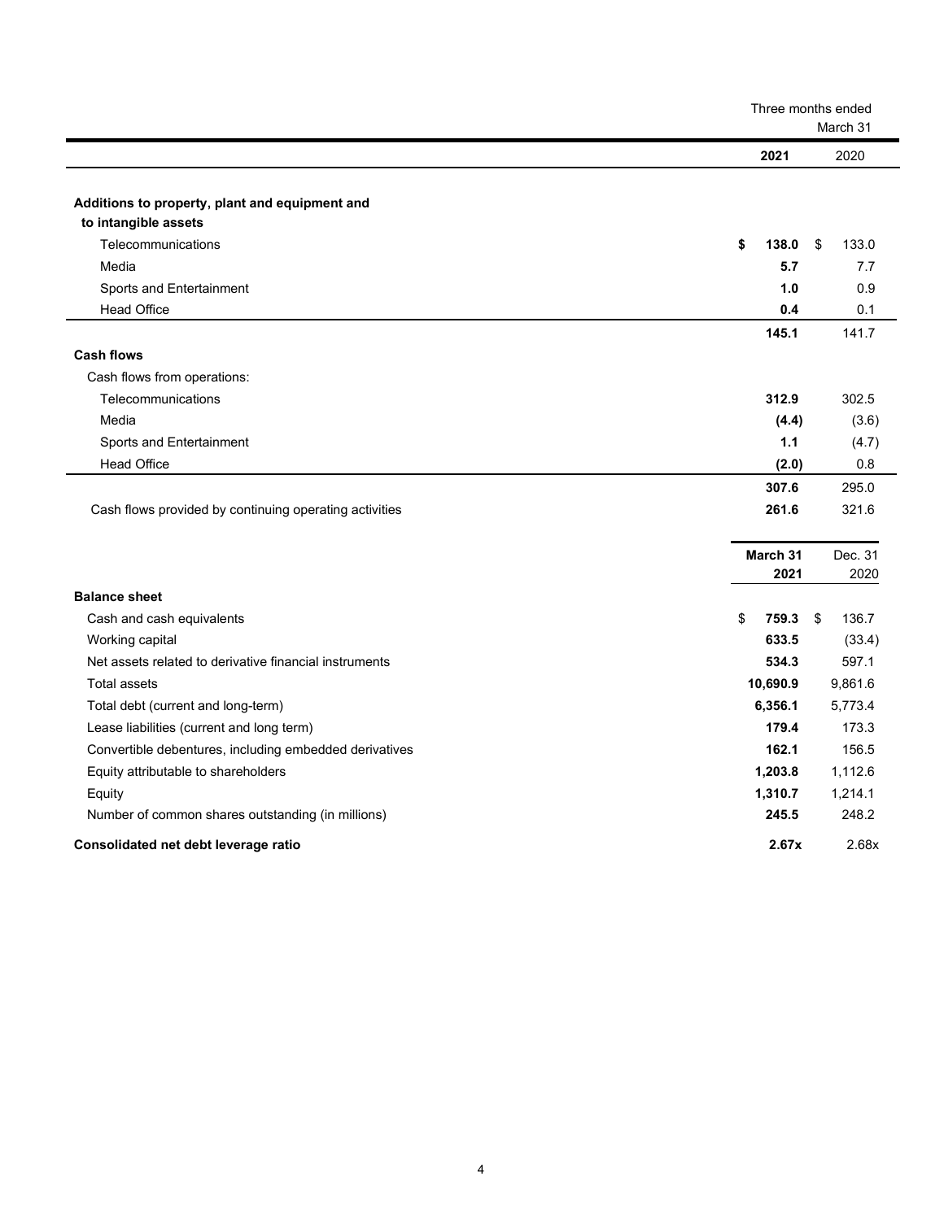|                                                        |                  | Three months ended<br>March 31 |
|--------------------------------------------------------|------------------|--------------------------------|
|                                                        | 2021             | 2020                           |
|                                                        |                  |                                |
| Additions to property, plant and equipment and         |                  |                                |
| to intangible assets                                   |                  |                                |
| Telecommunications                                     | \$<br>138.0      | 133.0<br>\$                    |
| Media                                                  | 5.7              | 7.7                            |
| Sports and Entertainment                               | 1.0              | 0.9                            |
| <b>Head Office</b>                                     | 0.4              | 0.1                            |
|                                                        | 145.1            | 141.7                          |
| <b>Cash flows</b>                                      |                  |                                |
| Cash flows from operations:                            |                  |                                |
| Telecommunications                                     | 312.9            | 302.5                          |
| Media                                                  | (4.4)            | (3.6)                          |
| Sports and Entertainment                               | 1.1              | (4.7)                          |
| <b>Head Office</b>                                     | (2.0)            | 0.8                            |
|                                                        | 307.6            | 295.0                          |
| Cash flows provided by continuing operating activities | 261.6            | 321.6                          |
|                                                        |                  |                                |
|                                                        | March 31<br>2021 | Dec. 31<br>2020                |
| <b>Balance sheet</b>                                   |                  |                                |
|                                                        | 759.3            |                                |
| Cash and cash equivalents                              | \$<br>633.5      | \$<br>136.7                    |
| Working capital                                        |                  | (33.4)                         |
| Net assets related to derivative financial instruments | 534.3            | 597.1                          |
| <b>Total assets</b>                                    | 10,690.9         | 9,861.6                        |
| Total debt (current and long-term)                     | 6,356.1          | 5,773.4                        |
| Lease liabilities (current and long term)              | 179.4            | 173.3                          |
| Convertible debentures, including embedded derivatives | 162.1            | 156.5                          |
| Equity attributable to shareholders                    | 1,203.8          | 1,112.6                        |
| Equity                                                 | 1,310.7          | 1,214.1                        |
| Number of common shares outstanding (in millions)      | 245.5            | 248.2                          |
| Consolidated net debt leverage ratio                   | 2.67x            | 2.68x                          |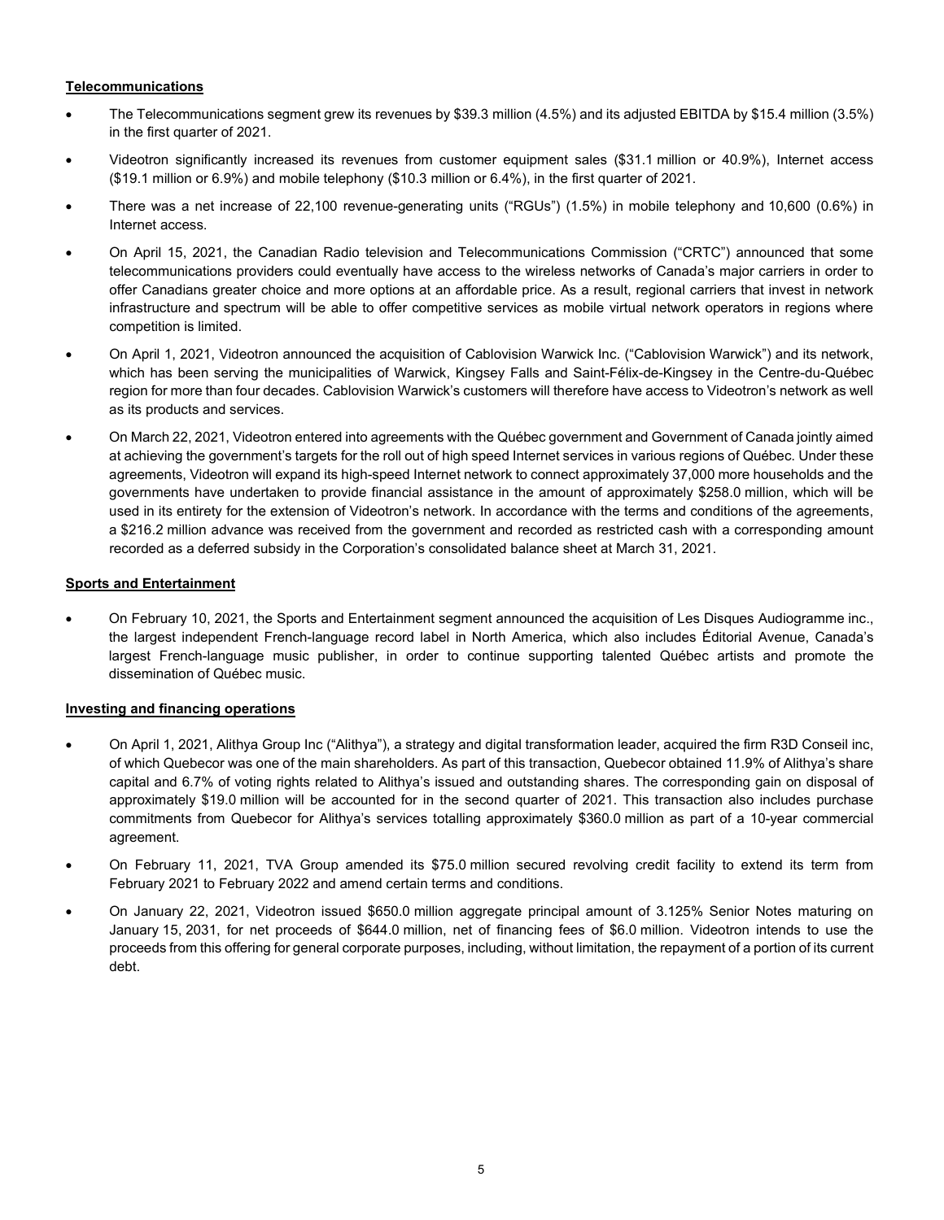## **Telecommunications**

- The Telecommunications segment grew its revenues by \$39.3 million (4.5%) and its adjusted EBITDA by \$15.4 million (3.5%) in the first quarter of 2021.
- Videotron significantly increased its revenues from customer equipment sales (\$31.1 million or 40.9%), Internet access (\$19.1 million or 6.9%) and mobile telephony (\$10.3 million or 6.4%), in the first quarter of 2021.
- There was a net increase of 22,100 revenue-generating units ("RGUs") (1.5%) in mobile telephony and 10,600 (0.6%) in Internet access.
- On April 15, 2021, the Canadian Radio television and Telecommunications Commission ("CRTC") announced that some telecommunications providers could eventually have access to the wireless networks of Canada's major carriers in order to offer Canadians greater choice and more options at an affordable price. As a result, regional carriers that invest in network infrastructure and spectrum will be able to offer competitive services as mobile virtual network operators in regions where competition is limited.
- On April 1, 2021, Videotron announced the acquisition of Cablovision Warwick Inc. ("Cablovision Warwick") and its network, which has been serving the municipalities of Warwick, Kingsey Falls and Saint-Félix-de-Kingsey in the Centre-du-Québec region for more than four decades. Cablovision Warwick's customers will therefore have access to Videotron's network as well as its products and services.
- On March 22, 2021, Videotron entered into agreements with the Québec government and Government of Canada jointly aimed at achieving the government's targets for the roll out of high speed Internet services in various regions of Québec. Under these agreements, Videotron will expand its high-speed Internet network to connect approximately 37,000 more households and the governments have undertaken to provide financial assistance in the amount of approximately \$258.0 million, which will be used in its entirety for the extension of Videotron's network. In accordance with the terms and conditions of the agreements, a \$216.2 million advance was received from the government and recorded as restricted cash with a corresponding amount recorded as a deferred subsidy in the Corporation's consolidated balance sheet at March 31, 2021.

## **Sports and Entertainment**

• On February 10, 2021, the Sports and Entertainment segment announced the acquisition of Les Disques Audiogramme inc., the largest independent French-language record label in North America, which also includes Éditorial Avenue, Canada's largest French-language music publisher, in order to continue supporting talented Québec artists and promote the dissemination of Québec music.

## **Investing and financing operations**

- On April 1, 2021, Alithya Group Inc ("Alithya"), a strategy and digital transformation leader, acquired the firm R3D Conseil inc, of which Quebecor was one of the main shareholders. As part of this transaction, Quebecor obtained 11.9% of Alithya's share capital and 6.7% of voting rights related to Alithya's issued and outstanding shares. The corresponding gain on disposal of approximately \$19.0 million will be accounted for in the second quarter of 2021. This transaction also includes purchase commitments from Quebecor for Alithya's services totalling approximately \$360.0 million as part of a 10-year commercial agreement.
- On February 11, 2021, TVA Group amended its \$75.0 million secured revolving credit facility to extend its term from February 2021 to February 2022 and amend certain terms and conditions.
- On January 22, 2021, Videotron issued \$650.0 million aggregate principal amount of 3.125% Senior Notes maturing on January 15, 2031, for net proceeds of \$644.0 million, net of financing fees of \$6.0 million. Videotron intends to use the proceeds from this offering for general corporate purposes, including, without limitation, the repayment of a portion of its current debt.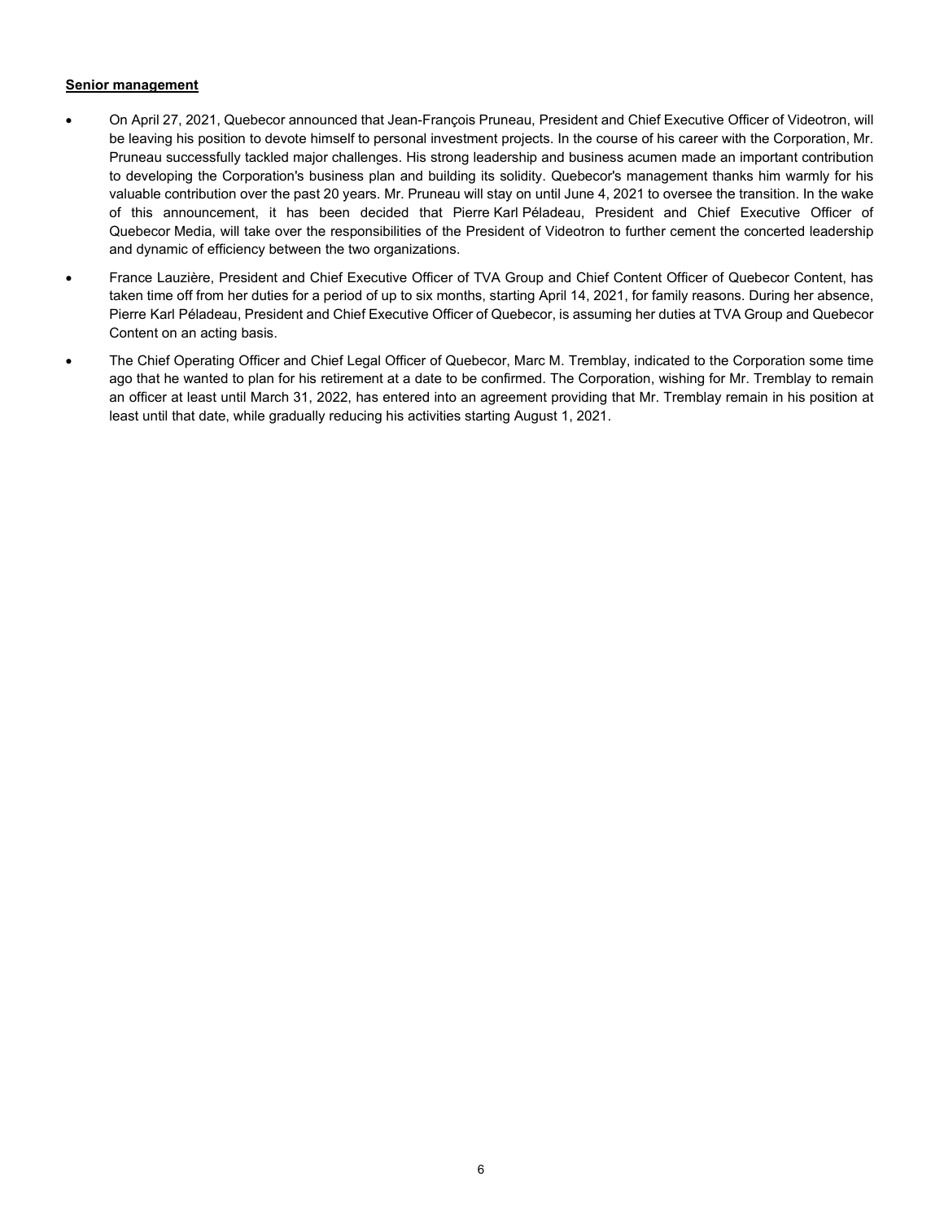#### **Senior management**

- On April 27, 2021, Quebecor announced that Jean-François Pruneau, President and Chief Executive Officer of Videotron, will be leaving his position to devote himself to personal investment projects. In the course of his career with the Corporation, Mr. Pruneau successfully tackled major challenges. His strong leadership and business acumen made an important contribution to developing the Corporation's business plan and building its solidity. Quebecor's management thanks him warmly for his valuable contribution over the past 20 years. Mr. Pruneau will stay on until June 4, 2021 to oversee the transition. In the wake of this announcement, it has been decided that Pierre Karl Péladeau, President and Chief Executive Officer of Quebecor Media, will take over the responsibilities of the President of Videotron to further cement the concerted leadership and dynamic of efficiency between the two organizations.
- France Lauzière, President and Chief Executive Officer of TVA Group and Chief Content Officer of Quebecor Content, has taken time off from her duties for a period of up to six months, starting April 14, 2021, for family reasons. During her absence, Pierre Karl Péladeau, President and Chief Executive Officer of Quebecor, is assuming her duties at TVA Group and Quebecor Content on an acting basis.
- The Chief Operating Officer and Chief Legal Officer of Quebecor, Marc M. Tremblay, indicated to the Corporation some time ago that he wanted to plan for his retirement at a date to be confirmed. The Corporation, wishing for Mr. Tremblay to remain an officer at least until March 31, 2022, has entered into an agreement providing that Mr. Tremblay remain in his position at least until that date, while gradually reducing his activities starting August 1, 2021.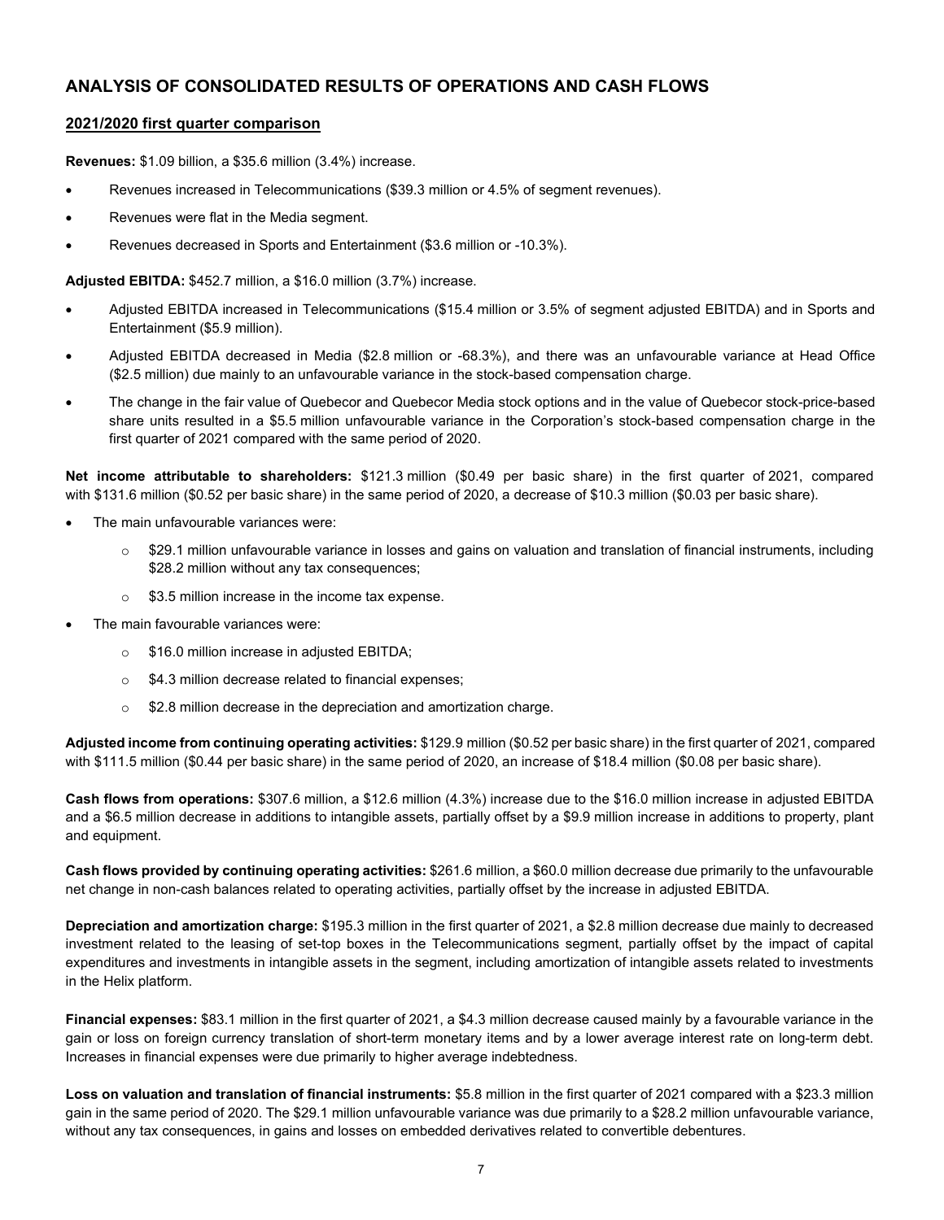## **ANALYSIS OF CONSOLIDATED RESULTS OF OPERATIONS AND CASH FLOWS**

#### **2021/2020 first quarter comparison**

**Revenues:** \$1.09 billion, a \$35.6 million (3.4%) increase.

- Revenues increased in Telecommunications (\$39.3 million or 4.5% of segment revenues).
- Revenues were flat in the Media segment.
- Revenues decreased in Sports and Entertainment (\$3.6 million or -10.3%).

**Adjusted EBITDA:** \$452.7 million, a \$16.0 million (3.7%) increase.

- Adjusted EBITDA increased in Telecommunications (\$15.4 million or 3.5% of segment adjusted EBITDA) and in Sports and Entertainment (\$5.9 million).
- Adjusted EBITDA decreased in Media (\$2.8 million or -68.3%), and there was an unfavourable variance at Head Office (\$2.5 million) due mainly to an unfavourable variance in the stock-based compensation charge.
- The change in the fair value of Quebecor and Quebecor Media stock options and in the value of Quebecor stock-price-based share units resulted in a \$5.5 million unfavourable variance in the Corporation's stock-based compensation charge in the first quarter of 2021 compared with the same period of 2020.

**Net income attributable to shareholders:** \$121.3 million (\$0.49 per basic share) in the first quarter of 2021, compared with \$131.6 million (\$0.52 per basic share) in the same period of 2020, a decrease of \$10.3 million (\$0.03 per basic share).

- The main unfavourable variances were:
	- $\circ$  \$29.1 million unfavourable variance in losses and gains on valuation and translation of financial instruments, including \$28.2 million without any tax consequences;
	- $\circ$  \$3.5 million increase in the income tax expense.
- The main favourable variances were:
	- o \$16.0 million increase in adjusted EBITDA;
	- o \$4.3 million decrease related to financial expenses;
	- o \$2.8 million decrease in the depreciation and amortization charge.

**Adjusted income from continuing operating activities:** \$129.9 million (\$0.52 per basic share) in the first quarter of 2021, compared with \$111.5 million (\$0.44 per basic share) in the same period of 2020, an increase of \$18.4 million (\$0.08 per basic share).

**Cash flows from operations:** \$307.6 million, a \$12.6 million (4.3%) increase due to the \$16.0 million increase in adjusted EBITDA and a \$6.5 million decrease in additions to intangible assets, partially offset by a \$9.9 million increase in additions to property, plant and equipment.

**Cash flows provided by continuing operating activities:** \$261.6 million, a \$60.0 million decrease due primarily to the unfavourable net change in non-cash balances related to operating activities, partially offset by the increase in adjusted EBITDA.

**Depreciation and amortization charge:** \$195.3 million in the first quarter of 2021, a \$2.8 million decrease due mainly to decreased investment related to the leasing of set-top boxes in the Telecommunications segment, partially offset by the impact of capital expenditures and investments in intangible assets in the segment, including amortization of intangible assets related to investments in the Helix platform.

**Financial expenses:** \$83.1 million in the first quarter of 2021, a \$4.3 million decrease caused mainly by a favourable variance in the gain or loss on foreign currency translation of short-term monetary items and by a lower average interest rate on long-term debt. Increases in financial expenses were due primarily to higher average indebtedness.

**Loss on valuation and translation of financial instruments:** \$5.8 million in the first quarter of 2021 compared with a \$23.3 million gain in the same period of 2020. The \$29.1 million unfavourable variance was due primarily to a \$28.2 million unfavourable variance, without any tax consequences, in gains and losses on embedded derivatives related to convertible debentures.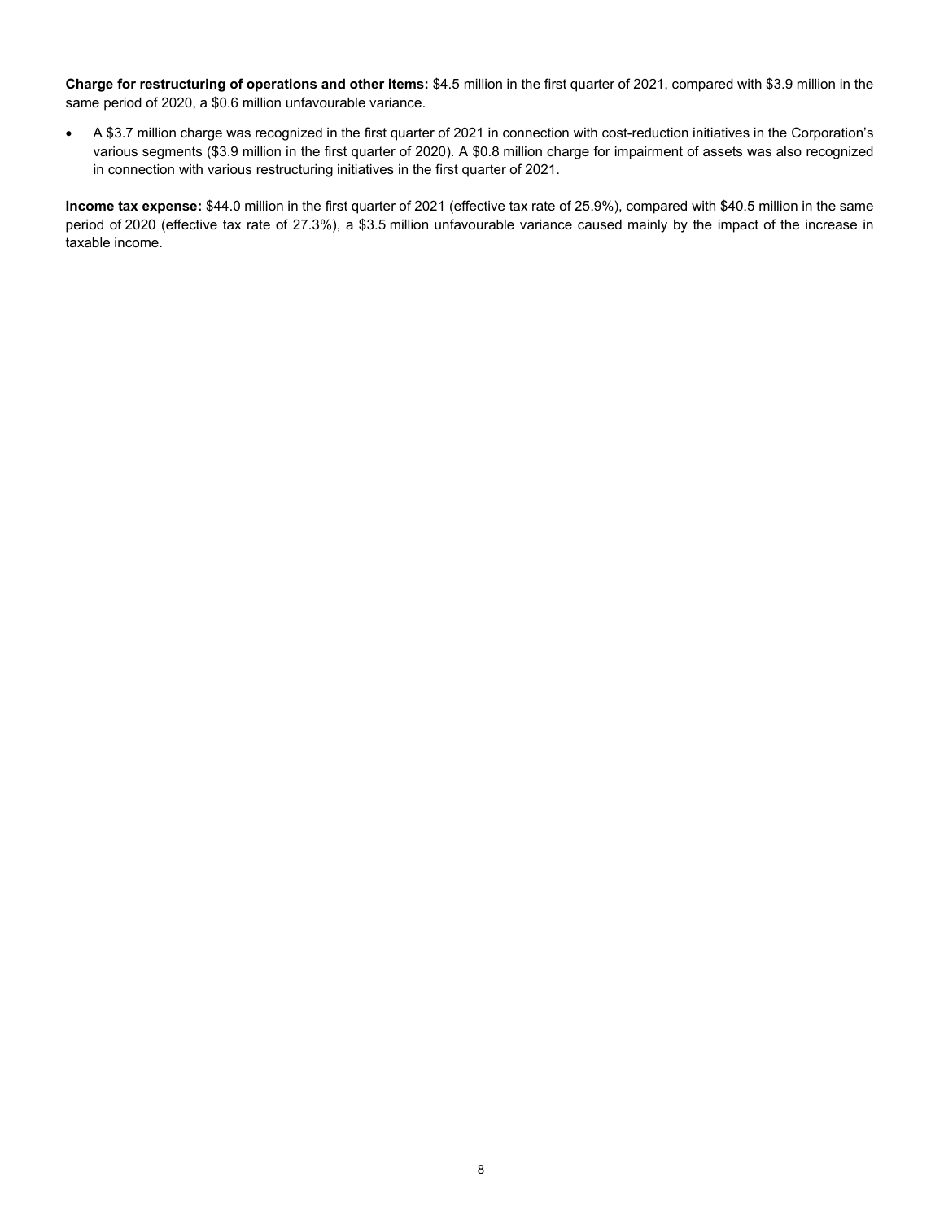**Charge for restructuring of operations and other items:** \$4.5 million in the first quarter of 2021, compared with \$3.9 million in the same period of 2020, a \$0.6 million unfavourable variance.

• A \$3.7 million charge was recognized in the first quarter of 2021 in connection with cost-reduction initiatives in the Corporation's various segments (\$3.9 million in the first quarter of 2020). A \$0.8 million charge for impairment of assets was also recognized in connection with various restructuring initiatives in the first quarter of 2021.

**Income tax expense:** \$44.0 million in the first quarter of 2021 (effective tax rate of 25.9%), compared with \$40.5 million in the same period of 2020 (effective tax rate of 27.3%), a \$3.5 million unfavourable variance caused mainly by the impact of the increase in taxable income.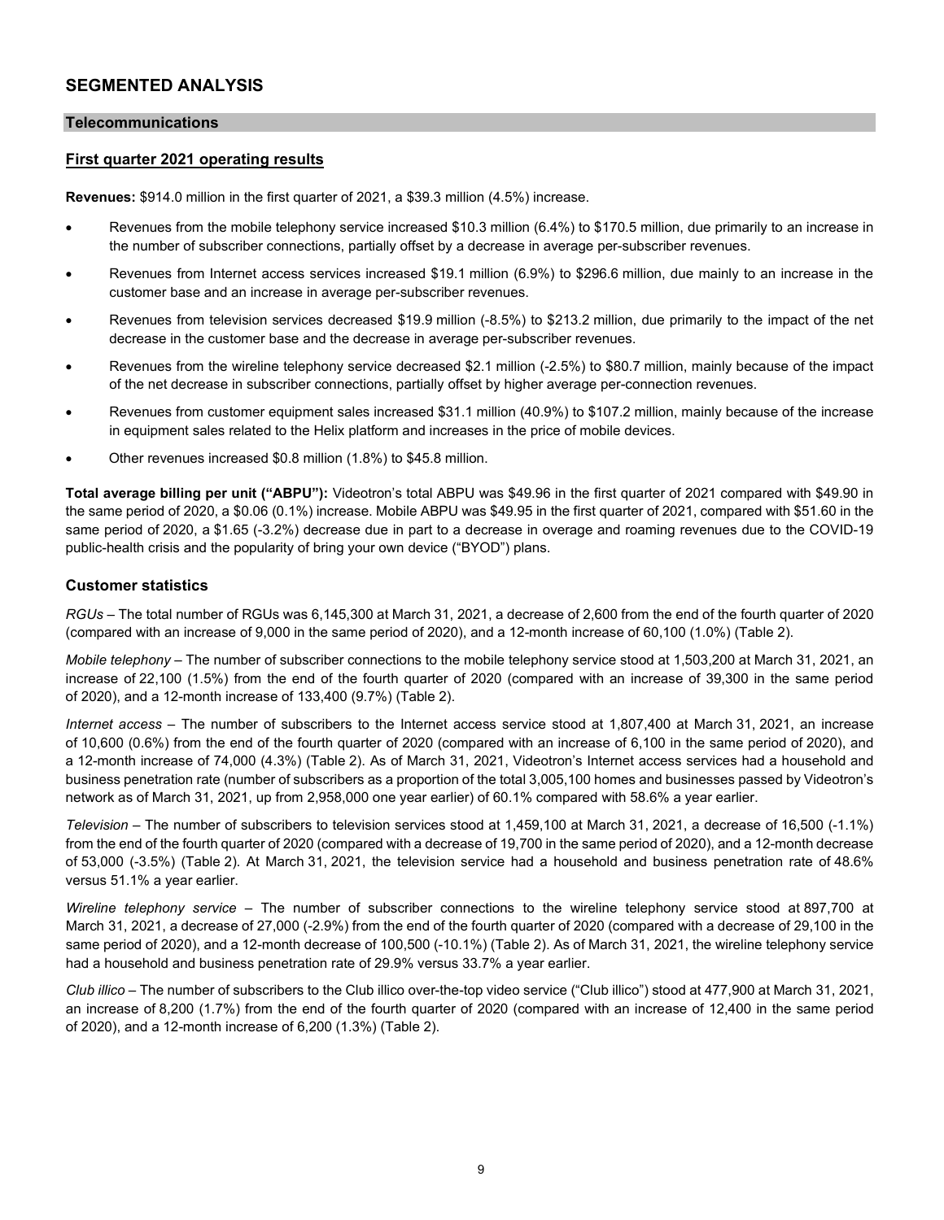## **SEGMENTED ANALYSIS**

#### **Telecommunications**

### **First quarter 2021 operating results**

**Revenues:** \$914.0 million in the first quarter of 2021, a \$39.3 million (4.5%) increase.

- Revenues from the mobile telephony service increased \$10.3 million (6.4%) to \$170.5 million, due primarily to an increase in the number of subscriber connections, partially offset by a decrease in average per-subscriber revenues.
- Revenues from Internet access services increased \$19.1 million (6.9%) to \$296.6 million, due mainly to an increase in the customer base and an increase in average per-subscriber revenues.
- Revenues from television services decreased \$19.9 million (-8.5%) to \$213.2 million, due primarily to the impact of the net decrease in the customer base and the decrease in average per-subscriber revenues.
- Revenues from the wireline telephony service decreased \$2.1 million (-2.5%) to \$80.7 million, mainly because of the impact of the net decrease in subscriber connections, partially offset by higher average per-connection revenues.
- Revenues from customer equipment sales increased \$31.1 million (40.9%) to \$107.2 million, mainly because of the increase in equipment sales related to the Helix platform and increases in the price of mobile devices.
- Other revenues increased \$0.8 million (1.8%) to \$45.8 million.

**Total average billing per unit ("ABPU"):** Videotron's total ABPU was \$49.96 in the first quarter of 2021 compared with \$49.90 in the same period of 2020, a \$0.06 (0.1%) increase. Mobile ABPU was \$49.95 in the first quarter of 2021, compared with \$51.60 in the same period of 2020, a \$1.65 (-3.2%) decrease due in part to a decrease in overage and roaming revenues due to the COVID-19 public-health crisis and the popularity of bring your own device ("BYOD") plans.

#### **Customer statistics**

*RGUs –* The total number of RGUs was 6,145,300 at March 31, 2021, a decrease of 2,600 from the end of the fourth quarter of 2020 (compared with an increase of 9,000 in the same period of 2020), and a 12-month increase of 60,100 (1.0%) (Table 2).

*Mobile telephony –* The number of subscriber connections to the mobile telephony service stood at 1,503,200 at March 31, 2021, an increase of 22,100 (1.5%) from the end of the fourth quarter of 2020 (compared with an increase of 39,300 in the same period of 2020), and a 12-month increase of 133,400 (9.7%) (Table 2).

*Internet access –* The number of subscribers to the Internet access service stood at 1,807,400 at March 31, 2021, an increase of 10,600 (0.6%) from the end of the fourth quarter of 2020 (compared with an increase of 6,100 in the same period of 2020), and a 12-month increase of 74,000 (4.3%) (Table 2). As of March 31, 2021, Videotron's Internet access services had a household and business penetration rate (number of subscribers as a proportion of the total 3,005,100 homes and businesses passed by Videotron's network as of March 31, 2021, up from 2,958,000 one year earlier) of 60.1% compared with 58.6% a year earlier.

*Television* – The number of subscribers to television services stood at 1,459,100 at March 31, 2021, a decrease of 16,500 (-1.1%) from the end of the fourth quarter of 2020 (compared with a decrease of 19,700 in the same period of 2020), and a 12-month decrease of 53,000 (-3.5%) (Table 2). At March 31, 2021, the television service had a household and business penetration rate of 48.6% versus 51.1% a year earlier.

*Wireline telephony service –* The number of subscriber connections to the wireline telephony service stood at 897,700 at March 31, 2021, a decrease of 27,000 (-2.9%) from the end of the fourth quarter of 2020 (compared with a decrease of 29,100 in the same period of 2020), and a 12-month decrease of 100,500 (-10.1%) (Table 2). As of March 31, 2021, the wireline telephony service had a household and business penetration rate of 29.9% versus 33.7% a year earlier.

*Club illico –* The number of subscribers to the Club illico over-the-top video service ("Club illico") stood at 477,900 at March 31, 2021, an increase of 8,200 (1.7%) from the end of the fourth quarter of 2020 (compared with an increase of 12,400 in the same period of 2020), and a 12-month increase of 6,200 (1.3%) (Table 2).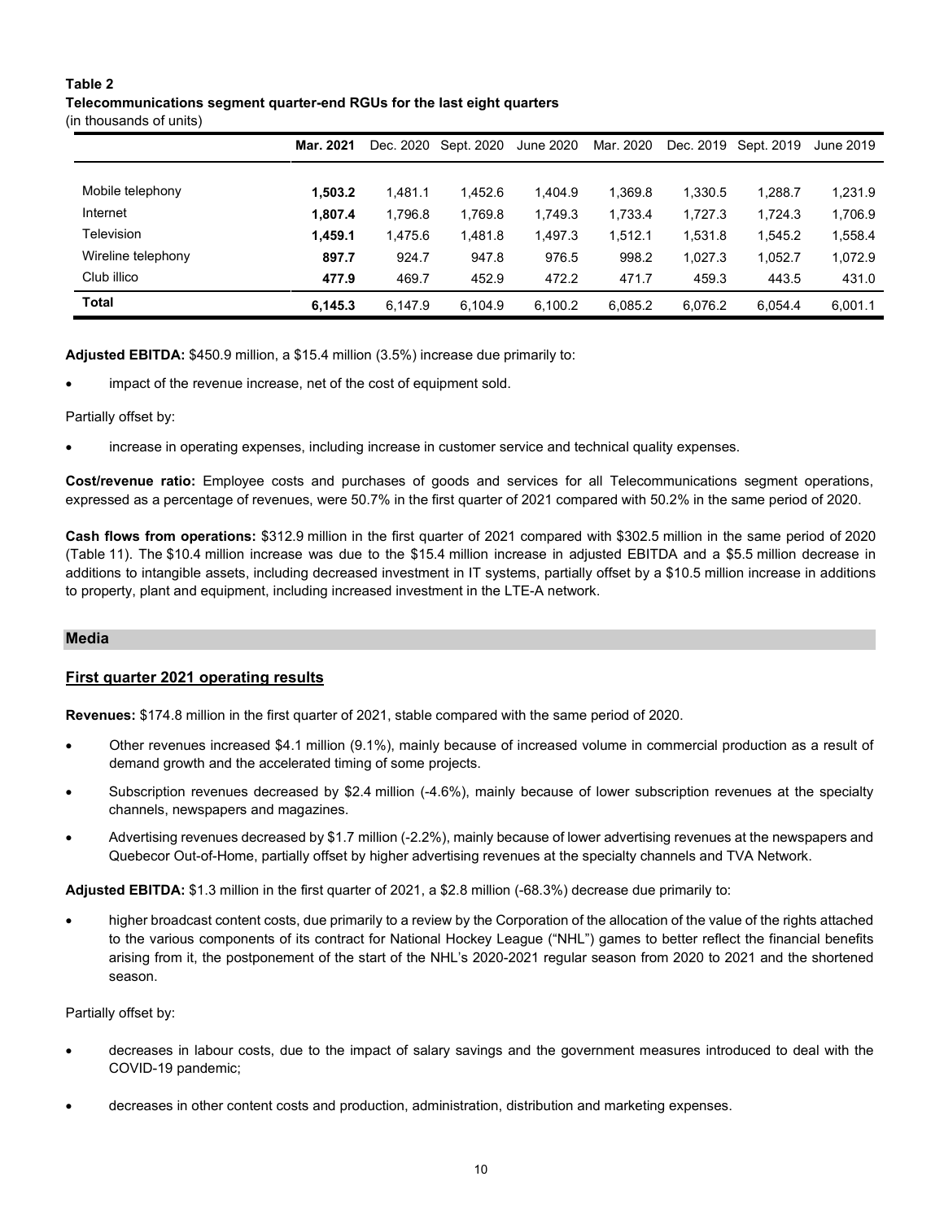## **Table 2**

## **Telecommunications segment quarter-end RGUs for the last eight quarters**

(in thousands of units)

|                    | Mar. 2021 |         | Dec. 2020 Sept. 2020 | June 2020 | Mar. 2020 |         | Dec. 2019 Sept. 2019 | June 2019 |
|--------------------|-----------|---------|----------------------|-----------|-----------|---------|----------------------|-----------|
|                    |           |         |                      |           |           |         |                      |           |
| Mobile telephony   | 1.503.2   | 1.481.1 | 1.452.6              | 1.404.9   | 1.369.8   | 1.330.5 | 1.288.7              | 1,231.9   |
| Internet           | 1.807.4   | 1,796.8 | 1,769.8              | 1,749.3   | 1,733.4   | 1,727.3 | 1,724.3              | 1,706.9   |
| Television         | 1.459.1   | 1.475.6 | 1.481.8              | 1.497.3   | 1.512.1   | 1.531.8 | 1.545.2              | 1,558.4   |
| Wireline telephony | 897.7     | 924.7   | 947.8                | 976.5     | 998.2     | 1,027.3 | 1.052.7              | 1,072.9   |
| Club illico        | 477.9     | 469.7   | 452.9                | 472.2     | 471.7     | 459.3   | 443.5                | 431.0     |
| <b>Total</b>       | 6,145.3   | 6.147.9 | 6,104.9              | 6,100.2   | 6.085.2   | 6.076.2 | 6.054.4              | 6,001.1   |

**Adjusted EBITDA:** \$450.9 million, a \$15.4 million (3.5%) increase due primarily to:

impact of the revenue increase, net of the cost of equipment sold.

Partially offset by:

• increase in operating expenses, including increase in customer service and technical quality expenses.

**Cost/revenue ratio:** Employee costs and purchases of goods and services for all Telecommunications segment operations, expressed as a percentage of revenues, were 50.7% in the first quarter of 2021 compared with 50.2% in the same period of 2020.

**Cash flows from operations:** \$312.9 million in the first quarter of 2021 compared with \$302.5 million in the same period of 2020 (Table 11). The \$10.4 million increase was due to the \$15.4 million increase in adjusted EBITDA and a \$5.5 million decrease in additions to intangible assets, including decreased investment in IT systems, partially offset by a \$10.5 million increase in additions to property, plant and equipment, including increased investment in the LTE-A network.

#### **Media**

## **First quarter 2021 operating results**

**Revenues:** \$174.8 million in the first quarter of 2021, stable compared with the same period of 2020.

- Other revenues increased \$4.1 million (9.1%), mainly because of increased volume in commercial production as a result of demand growth and the accelerated timing of some projects.
- Subscription revenues decreased by \$2.4 million (-4.6%), mainly because of lower subscription revenues at the specialty channels, newspapers and magazines.
- Advertising revenues decreased by \$1.7 million (-2.2%), mainly because of lower advertising revenues at the newspapers and Quebecor Out-of-Home, partially offset by higher advertising revenues at the specialty channels and TVA Network.

**Adjusted EBITDA:** \$1.3 million in the first quarter of 2021, a \$2.8 million (-68.3%) decrease due primarily to:

• higher broadcast content costs, due primarily to a review by the Corporation of the allocation of the value of the rights attached to the various components of its contract for National Hockey League ("NHL") games to better reflect the financial benefits arising from it, the postponement of the start of the NHL's 2020-2021 regular season from 2020 to 2021 and the shortened season.

Partially offset by:

- decreases in labour costs, due to the impact of salary savings and the government measures introduced to deal with the COVID-19 pandemic;
- decreases in other content costs and production, administration, distribution and marketing expenses.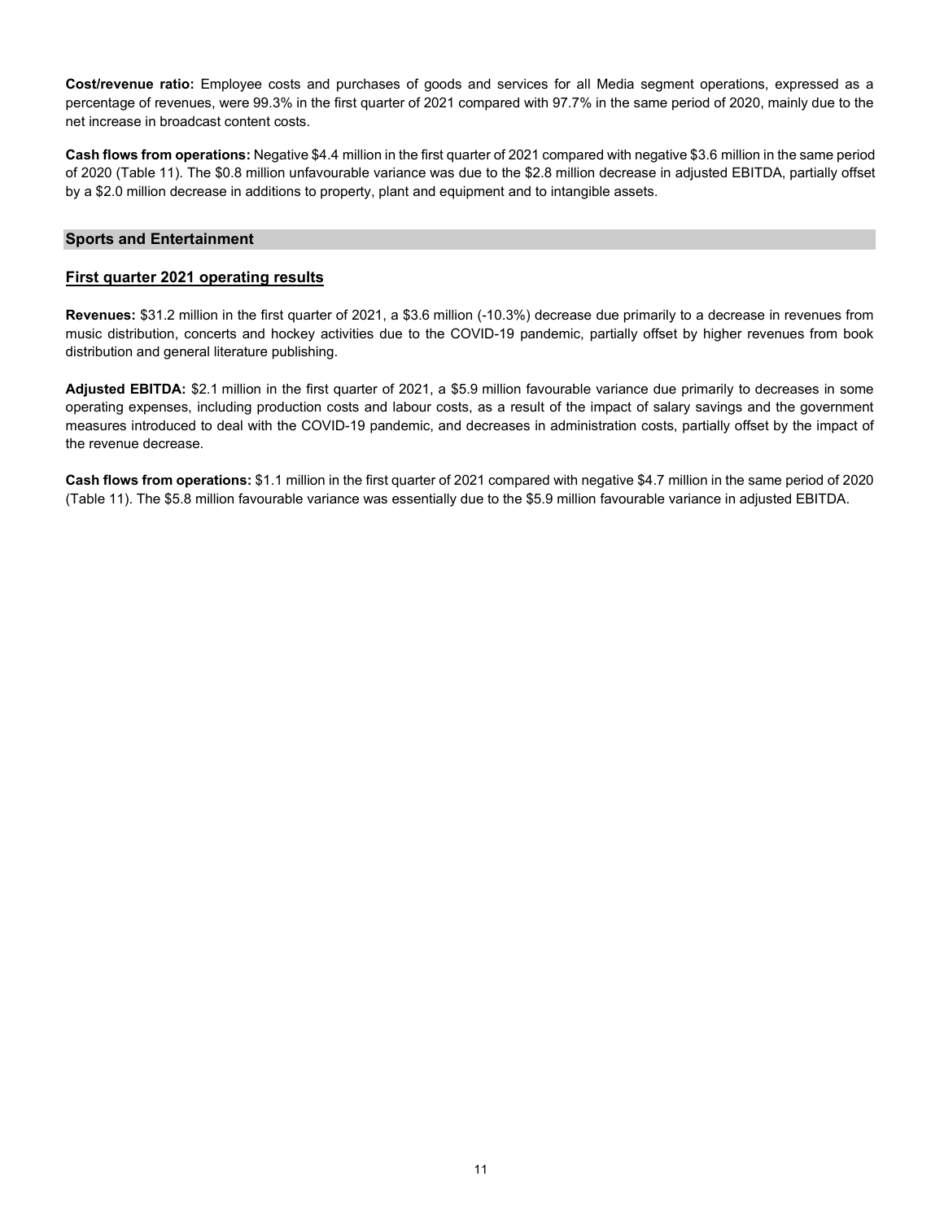**Cost/revenue ratio:** Employee costs and purchases of goods and services for all Media segment operations, expressed as a percentage of revenues, were 99.3% in the first quarter of 2021 compared with 97.7% in the same period of 2020, mainly due to the net increase in broadcast content costs.

**Cash flows from operations:** Negative \$4.4 million in the first quarter of 2021 compared with negative \$3.6 million in the same period of 2020 (Table 11). The \$0.8 million unfavourable variance was due to the \$2.8 million decrease in adjusted EBITDA, partially offset by a \$2.0 million decrease in additions to property, plant and equipment and to intangible assets.

#### **Sports and Entertainment**

#### **First quarter 2021 operating results**

**Revenues:** \$31.2 million in the first quarter of 2021, a \$3.6 million (-10.3%) decrease due primarily to a decrease in revenues from music distribution, concerts and hockey activities due to the COVID-19 pandemic, partially offset by higher revenues from book distribution and general literature publishing.

**Adjusted EBITDA:** \$2.1 million in the first quarter of 2021, a \$5.9 million favourable variance due primarily to decreases in some operating expenses, including production costs and labour costs, as a result of the impact of salary savings and the government measures introduced to deal with the COVID-19 pandemic, and decreases in administration costs, partially offset by the impact of the revenue decrease.

**Cash flows from operations:** \$1.1 million in the first quarter of 2021 compared with negative \$4.7 million in the same period of 2020 (Table 11). The \$5.8 million favourable variance was essentially due to the \$5.9 million favourable variance in adjusted EBITDA.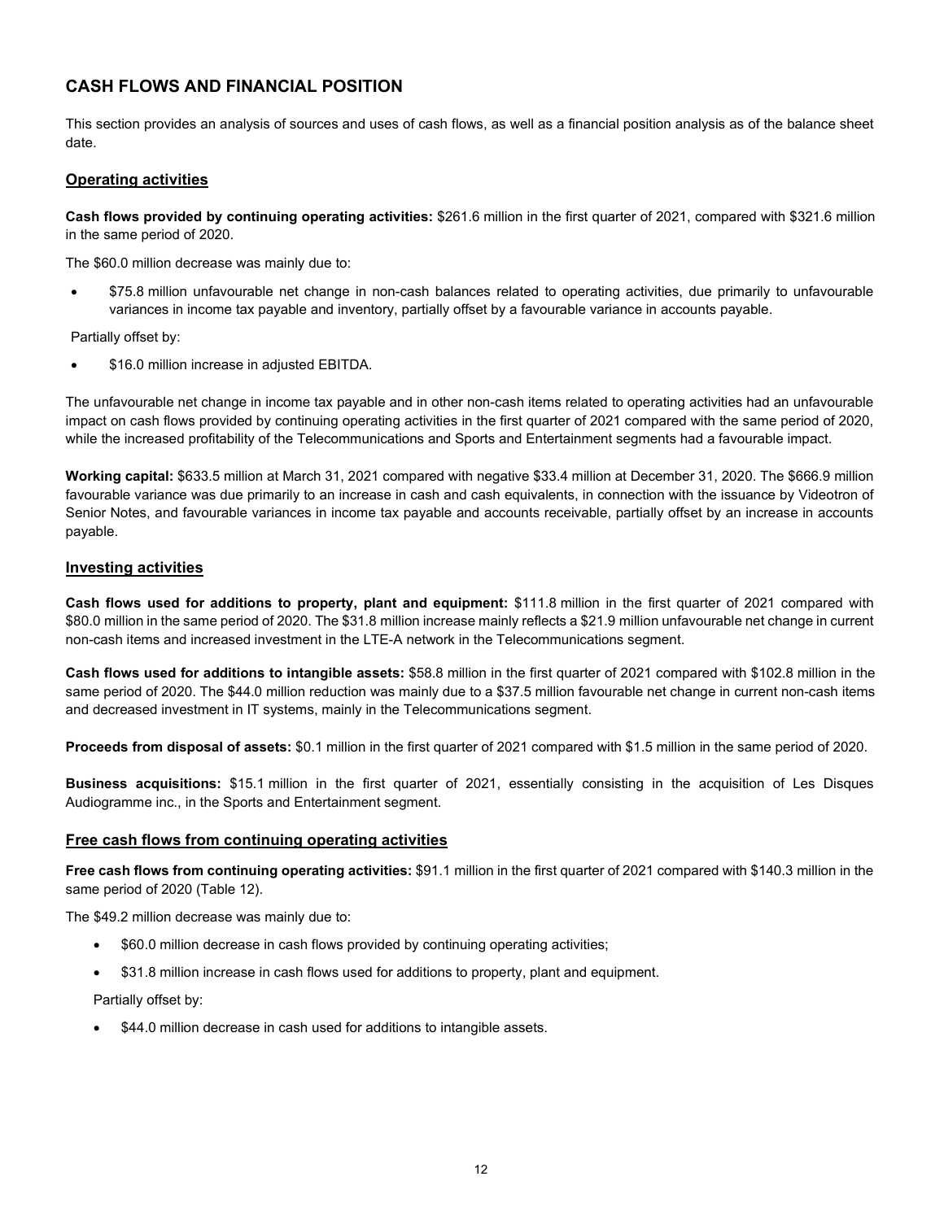## **CASH FLOWS AND FINANCIAL POSITION**

This section provides an analysis of sources and uses of cash flows, as well as a financial position analysis as of the balance sheet date.

#### **Operating activities**

**Cash flows provided by continuing operating activities:** \$261.6 million in the first quarter of 2021, compared with \$321.6 million in the same period of 2020.

The \$60.0 million decrease was mainly due to:

• \$75.8 million unfavourable net change in non-cash balances related to operating activities, due primarily to unfavourable variances in income tax payable and inventory, partially offset by a favourable variance in accounts payable.

Partially offset by:

• \$16.0 million increase in adjusted EBITDA.

The unfavourable net change in income tax payable and in other non-cash items related to operating activities had an unfavourable impact on cash flows provided by continuing operating activities in the first quarter of 2021 compared with the same period of 2020, while the increased profitability of the Telecommunications and Sports and Entertainment segments had a favourable impact.

**Working capital:** \$633.5 million at March 31, 2021 compared with negative \$33.4 million at December 31, 2020. The \$666.9 million favourable variance was due primarily to an increase in cash and cash equivalents, in connection with the issuance by Videotron of Senior Notes, and favourable variances in income tax payable and accounts receivable, partially offset by an increase in accounts payable.

#### **Investing activities**

**Cash flows used for additions to property, plant and equipment:** \$111.8 million in the first quarter of 2021 compared with \$80.0 million in the same period of 2020. The \$31.8 million increase mainly reflects a \$21.9 million unfavourable net change in current non-cash items and increased investment in the LTE-A network in the Telecommunications segment.

**Cash flows used for additions to intangible assets:** \$58.8 million in the first quarter of 2021 compared with \$102.8 million in the same period of 2020. The \$44.0 million reduction was mainly due to a \$37.5 million favourable net change in current non-cash items and decreased investment in IT systems, mainly in the Telecommunications segment.

**Proceeds from disposal of assets:** \$0.1 million in the first quarter of 2021 compared with \$1.5 million in the same period of 2020.

**Business acquisitions:** \$15.1 million in the first quarter of 2021, essentially consisting in the acquisition of Les Disques Audiogramme inc., in the Sports and Entertainment segment.

#### **Free cash flows from continuing operating activities**

**Free cash flows from continuing operating activities:** \$91.1 million in the first quarter of 2021 compared with \$140.3 million in the same period of 2020 (Table 12).

The \$49.2 million decrease was mainly due to:

- \$60.0 million decrease in cash flows provided by continuing operating activities;
- \$31.8 million increase in cash flows used for additions to property, plant and equipment.

Partially offset by:

• \$44.0 million decrease in cash used for additions to intangible assets.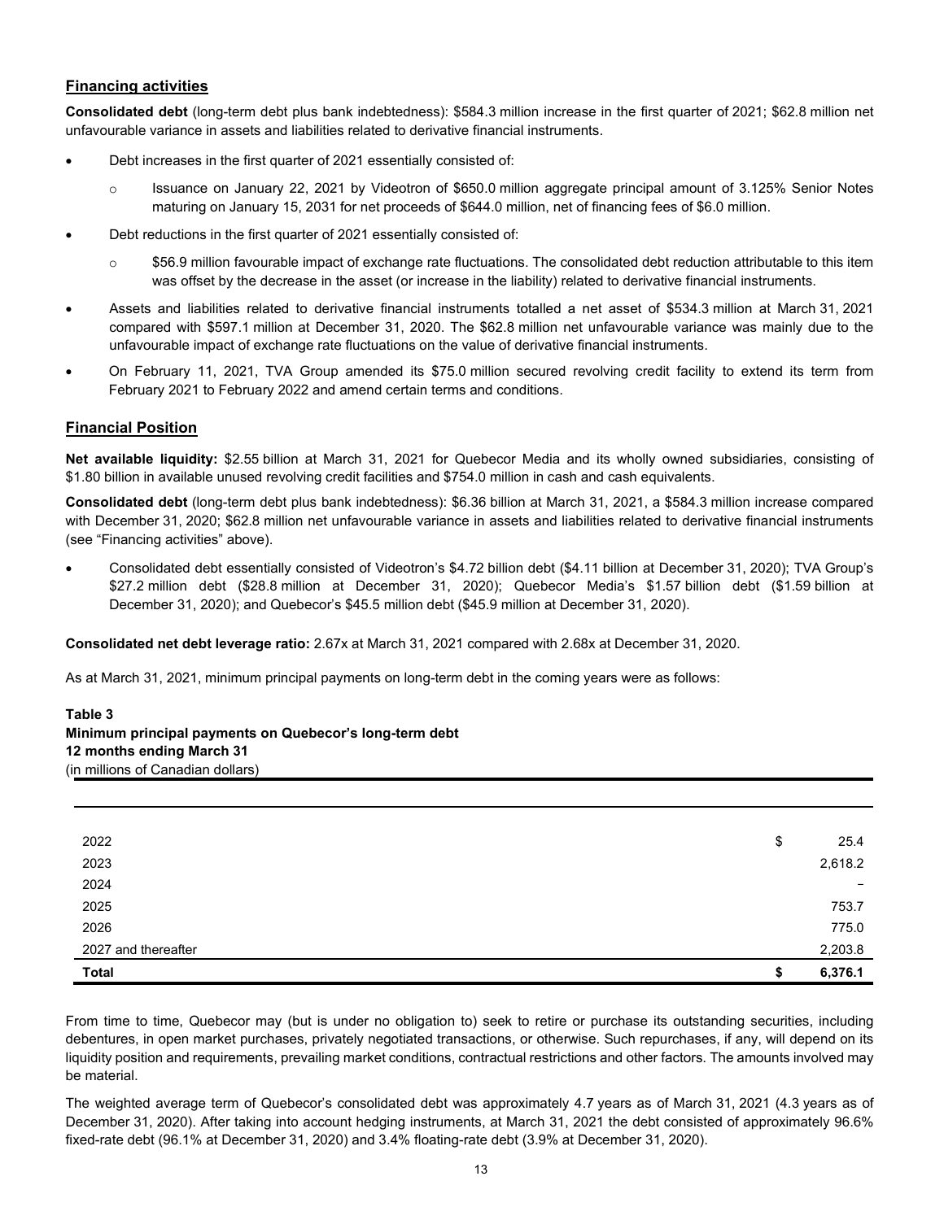## **Financing activities**

**Consolidated debt** (long-term debt plus bank indebtedness): \$584.3 million increase in the first quarter of 2021; \$62.8 million net unfavourable variance in assets and liabilities related to derivative financial instruments.

- Debt increases in the first quarter of 2021 essentially consisted of:
	- o Issuance on January 22, 2021 by Videotron of \$650.0 million aggregate principal amount of 3.125% Senior Notes maturing on January 15, 2031 for net proceeds of \$644.0 million, net of financing fees of \$6.0 million.
- Debt reductions in the first quarter of 2021 essentially consisted of:
	- $\circ$  \$56.9 million favourable impact of exchange rate fluctuations. The consolidated debt reduction attributable to this item was offset by the decrease in the asset (or increase in the liability) related to derivative financial instruments.
- Assets and liabilities related to derivative financial instruments totalled a net asset of \$534.3 million at March 31, 2021 compared with \$597.1 million at December 31, 2020. The \$62.8 million net unfavourable variance was mainly due to the unfavourable impact of exchange rate fluctuations on the value of derivative financial instruments.
- On February 11, 2021, TVA Group amended its \$75.0 million secured revolving credit facility to extend its term from February 2021 to February 2022 and amend certain terms and conditions.

## **Financial Position**

**Net available liquidity:** \$2.55 billion at March 31, 2021 for Quebecor Media and its wholly owned subsidiaries, consisting of \$1.80 billion in available unused revolving credit facilities and \$754.0 million in cash and cash equivalents.

**Consolidated debt** (long-term debt plus bank indebtedness): \$6.36 billion at March 31, 2021, a \$584.3 million increase compared with December 31, 2020; \$62.8 million net unfavourable variance in assets and liabilities related to derivative financial instruments (see "Financing activities" above).

• Consolidated debt essentially consisted of Videotron's \$4.72 billion debt (\$4.11 billion at December 31, 2020); TVA Group's \$27.2 million debt (\$28.8 million at December 31, 2020); Quebecor Media's \$1.57 billion debt (\$1.59 billion at December 31, 2020); and Quebecor's \$45.5 million debt (\$45.9 million at December 31, 2020).

**Consolidated net debt leverage ratio:** 2.67x at March 31, 2021 compared with 2.68x at December 31, 2020.

As at March 31, 2021, minimum principal payments on long-term debt in the coming years were as follows:

## **Table 3 Minimum principal payments on Quebecor's long-term debt 12 months ending March 31** (in millions of Canadian dollars)

| 2022                | \$<br>25.4               |
|---------------------|--------------------------|
| 2023                | 2,618.2                  |
| 2024                | $\overline{\phantom{m}}$ |
| 2025                | 753.7                    |
| 2026                | 775.0                    |
| 2027 and thereafter | 2,203.8                  |
| <b>Total</b>        | \$<br>6,376.1            |

From time to time, Quebecor may (but is under no obligation to) seek to retire or purchase its outstanding securities, including debentures, in open market purchases, privately negotiated transactions, or otherwise. Such repurchases, if any, will depend on its liquidity position and requirements, prevailing market conditions, contractual restrictions and other factors. The amounts involved may be material.

The weighted average term of Quebecor's consolidated debt was approximately 4.7 years as of March 31, 2021 (4.3 years as of December 31, 2020). After taking into account hedging instruments, at March 31, 2021 the debt consisted of approximately 96.6% fixed-rate debt (96.1% at December 31, 2020) and 3.4% floating-rate debt (3.9% at December 31, 2020).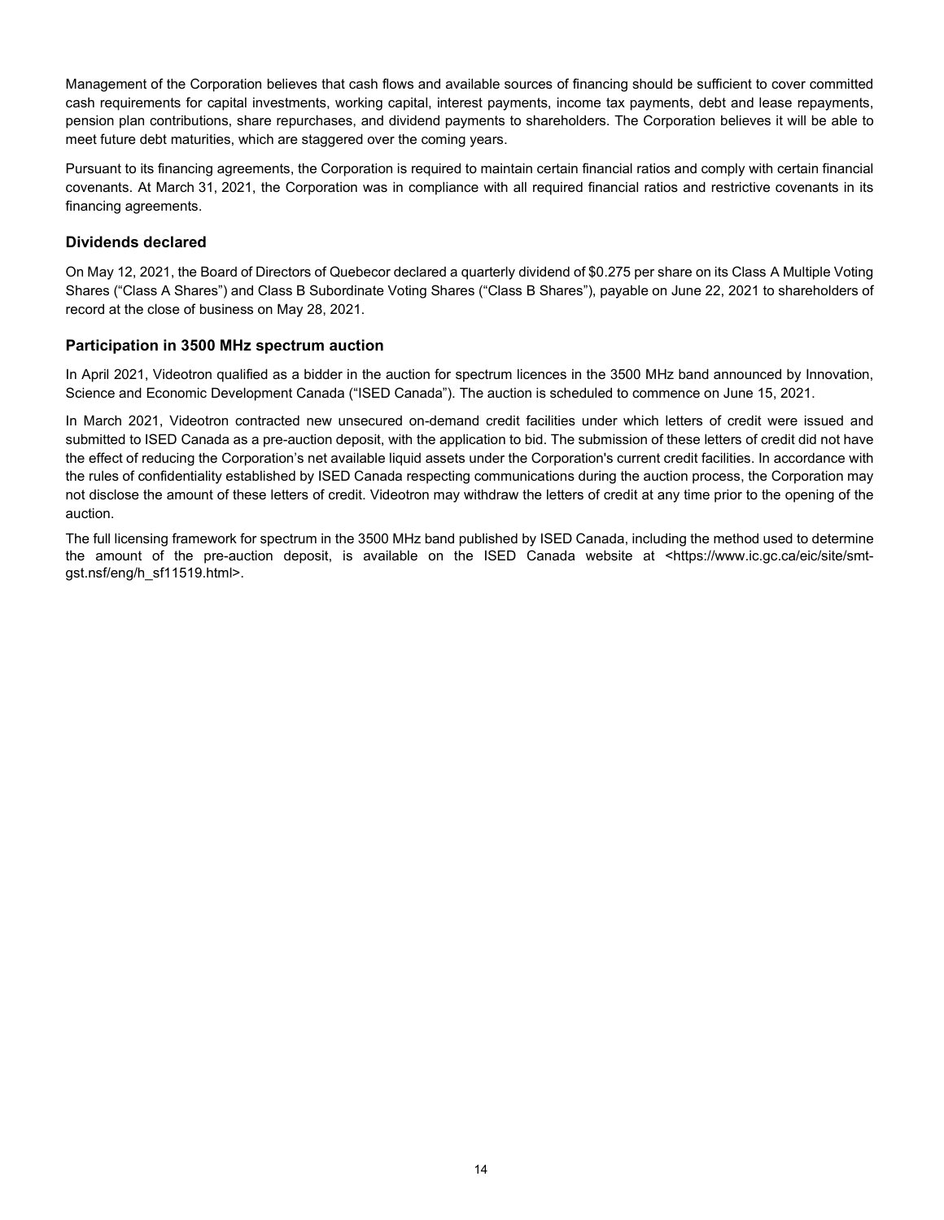Management of the Corporation believes that cash flows and available sources of financing should be sufficient to cover committed cash requirements for capital investments, working capital, interest payments, income tax payments, debt and lease repayments, pension plan contributions, share repurchases, and dividend payments to shareholders. The Corporation believes it will be able to meet future debt maturities, which are staggered over the coming years.

Pursuant to its financing agreements, the Corporation is required to maintain certain financial ratios and comply with certain financial covenants. At March 31, 2021, the Corporation was in compliance with all required financial ratios and restrictive covenants in its financing agreements.

## **Dividends declared**

On May 12, 2021, the Board of Directors of Quebecor declared a quarterly dividend of \$0.275 per share on its Class A Multiple Voting Shares ("Class A Shares") and Class B Subordinate Voting Shares ("Class B Shares"), payable on June 22, 2021 to shareholders of record at the close of business on May 28, 2021.

## **Participation in 3500 MHz spectrum auction**

In April 2021, Videotron qualified as a bidder in the auction for spectrum licences in the 3500 MHz band announced by Innovation, Science and Economic Development Canada ("ISED Canada"). The auction is scheduled to commence on June 15, 2021.

In March 2021, Videotron contracted new unsecured on-demand credit facilities under which letters of credit were issued and submitted to ISED Canada as a pre-auction deposit, with the application to bid. The submission of these letters of credit did not have the effect of reducing the Corporation's net available liquid assets under the Corporation's current credit facilities. In accordance with the rules of confidentiality established by ISED Canada respecting communications during the auction process, the Corporation may not disclose the amount of these letters of credit. Videotron may withdraw the letters of credit at any time prior to the opening of the auction.

The full licensing framework for spectrum in the 3500 MHz band published by ISED Canada, including the method used to determine the amount of the pre-auction deposit, is available on the ISED Canada website at <https://www.ic.gc.ca/eic/site/smtgst.nsf/eng/h\_sf11519.html>.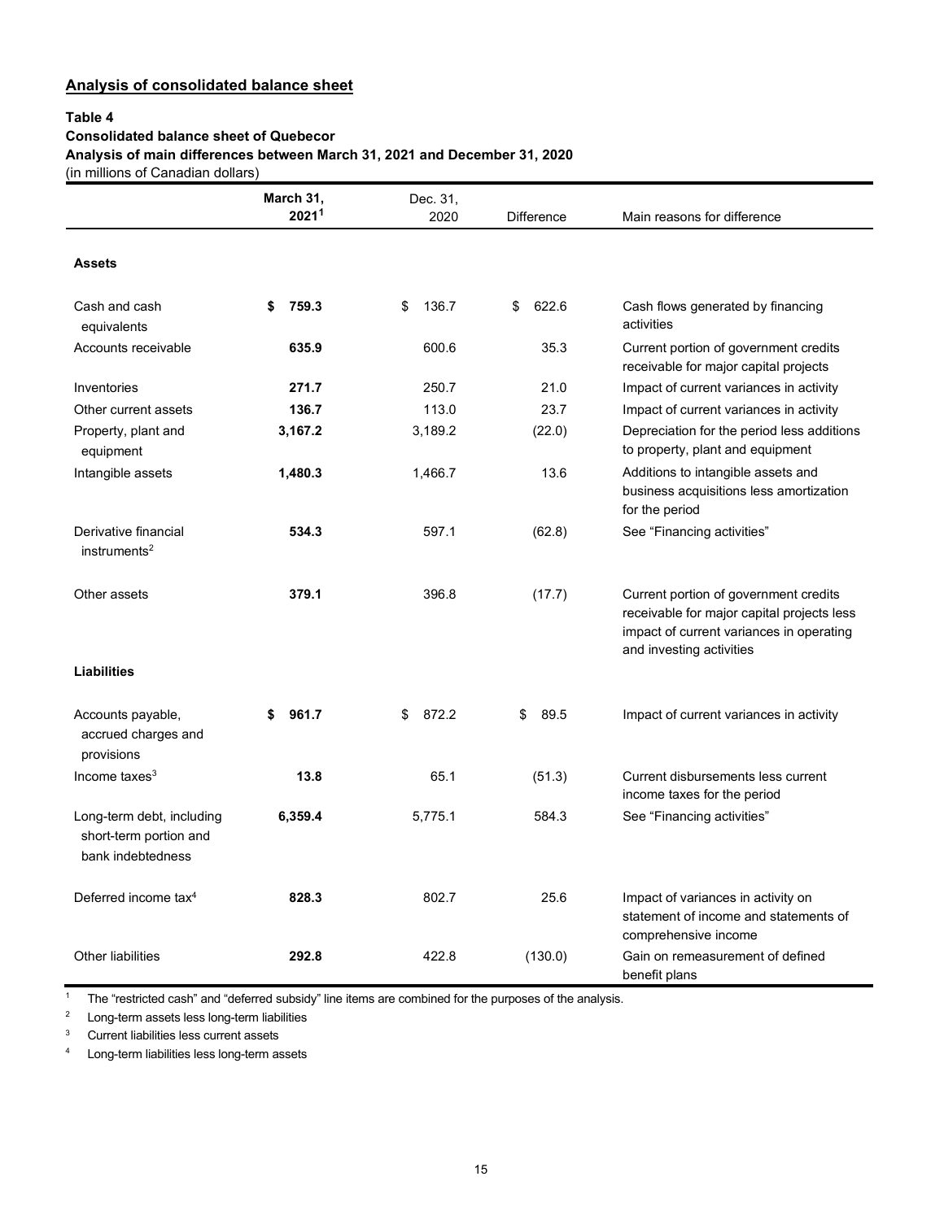## **Analysis of consolidated balance sheet**

#### **Table 4**

## **Consolidated balance sheet of Quebecor**

**Analysis of main differences between March 31, 2021 and December 31, 2020**

(in millions of Canadian dollars)

|                                                                          | March 31,         | Dec. 31,    |                   |                                                                                                                                                             |
|--------------------------------------------------------------------------|-------------------|-------------|-------------------|-------------------------------------------------------------------------------------------------------------------------------------------------------------|
|                                                                          | 2021 <sup>1</sup> | 2020        | <b>Difference</b> | Main reasons for difference                                                                                                                                 |
| <b>Assets</b>                                                            |                   |             |                   |                                                                                                                                                             |
| Cash and cash<br>equivalents                                             | 759.3<br>\$       | 136.7<br>\$ | 622.6<br>\$       | Cash flows generated by financing<br>activities                                                                                                             |
| Accounts receivable                                                      | 635.9             | 600.6       | 35.3              | Current portion of government credits<br>receivable for major capital projects                                                                              |
| Inventories                                                              | 271.7             | 250.7       | 21.0              | Impact of current variances in activity                                                                                                                     |
| Other current assets                                                     | 136.7             | 113.0       | 23.7              | Impact of current variances in activity                                                                                                                     |
| Property, plant and<br>equipment                                         | 3,167.2           | 3,189.2     | (22.0)            | Depreciation for the period less additions<br>to property, plant and equipment                                                                              |
| Intangible assets                                                        | 1,480.3           | 1,466.7     | 13.6              | Additions to intangible assets and<br>business acquisitions less amortization<br>for the period                                                             |
| Derivative financial<br>instruments <sup>2</sup>                         | 534.3             | 597.1       | (62.8)            | See "Financing activities"                                                                                                                                  |
| Other assets                                                             | 379.1             | 396.8       | (17.7)            | Current portion of government credits<br>receivable for major capital projects less<br>impact of current variances in operating<br>and investing activities |
| <b>Liabilities</b>                                                       |                   |             |                   |                                                                                                                                                             |
| Accounts payable,<br>accrued charges and<br>provisions                   | 961.7<br>\$       | 872.2<br>\$ | 89.5<br>\$        | Impact of current variances in activity                                                                                                                     |
| Income taxes $3$                                                         | 13.8              | 65.1        | (51.3)            | Current disbursements less current<br>income taxes for the period                                                                                           |
| Long-term debt, including<br>short-term portion and<br>bank indebtedness | 6,359.4           | 5,775.1     | 584.3             | See "Financing activities"                                                                                                                                  |
| Deferred income tax <sup>4</sup>                                         | 828.3             | 802.7       | 25.6              | Impact of variances in activity on<br>statement of income and statements of<br>comprehensive income                                                         |
| Other liabilities                                                        | 292.8             | 422.8       | (130.0)           | Gain on remeasurement of defined<br>benefit plans                                                                                                           |

<sup>1</sup> The "restricted cash" and "deferred subsidy" line items are combined for the purposes of the analysis.

<sup>2</sup> Long-term assets less long-term liabilities

 $3$  Current liabilities less current assets<br> $4$  I ong-term liabilities less long-term as

Long-term liabilities less long-term assets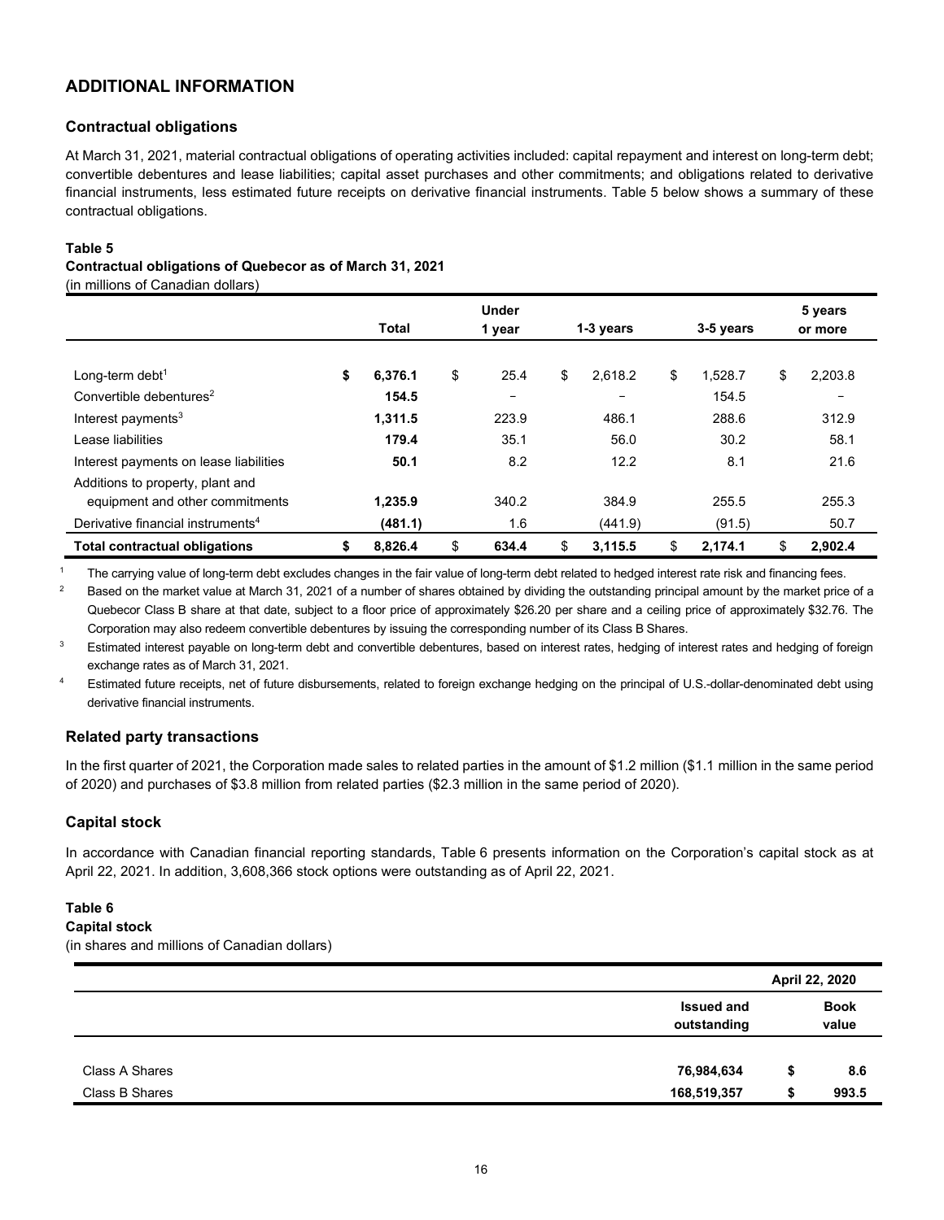## **ADDITIONAL INFORMATION**

## **Contractual obligations**

At March 31, 2021, material contractual obligations of operating activities included: capital repayment and interest on long-term debt; convertible debentures and lease liabilities; capital asset purchases and other commitments; and obligations related to derivative financial instruments, less estimated future receipts on derivative financial instruments. Table 5 below shows a summary of these contractual obligations.

#### **Table 5**

#### **Contractual obligations of Quebecor as of March 31, 2021**

(in millions of Canadian dollars)

|                                               |    | Total   | <b>Under</b><br>1 year |       | 1-3 years<br>3-5 years |         |    |         |    |                          | 5 years<br>or more |
|-----------------------------------------------|----|---------|------------------------|-------|------------------------|---------|----|---------|----|--------------------------|--------------------|
|                                               |    |         |                        |       |                        |         |    |         |    |                          |                    |
| Long-term debt <sup>1</sup>                   | \$ | 6,376.1 | \$                     | 25.4  | \$                     | 2,618.2 | \$ | 1,528.7 | \$ | 2,203.8                  |                    |
| Convertible debentures <sup>2</sup>           |    | 154.5   |                        |       |                        | -       |    | 154.5   |    | $\overline{\phantom{m}}$ |                    |
| Interest payments <sup>3</sup>                |    | 1,311.5 |                        | 223.9 |                        | 486.1   |    | 288.6   |    | 312.9                    |                    |
| Lease liabilities                             |    | 179.4   |                        | 35.1  |                        | 56.0    |    | 30.2    |    | 58.1                     |                    |
| Interest payments on lease liabilities        |    | 50.1    |                        | 8.2   |                        | 12.2    |    | 8.1     |    | 21.6                     |                    |
| Additions to property, plant and              |    |         |                        |       |                        |         |    |         |    |                          |                    |
| equipment and other commitments               |    | 1,235.9 |                        | 340.2 |                        | 384.9   |    | 255.5   |    | 255.3                    |                    |
| Derivative financial instruments <sup>4</sup> |    | (481.1) |                        | 1.6   |                        | (441.9) |    | (91.5)  |    | 50.7                     |                    |
| <b>Total contractual obligations</b>          | S  | 8,826.4 | \$                     | 634.4 | \$                     | 3,115.5 | \$ | 2.174.1 | \$ | 2,902.4                  |                    |

<sup>1</sup> The carrying value of long-term debt excludes changes in the fair value of long-term debt related to hedged interest rate risk and financing fees.

<sup>2</sup> Based on the market value at March 31, 2021 of a number of shares obtained by dividing the outstanding principal amount by the market price of a Quebecor Class B share at that date, subject to a floor price of approximately \$26.20 per share and a ceiling price of approximately \$32.76. The Corporation may also redeem convertible debentures by issuing the corresponding number of its Class B Shares.

<sup>3</sup> Estimated interest payable on long-term debt and convertible debentures, based on interest rates, hedging of interest rates and hedging of foreign exchange rates as of March 31, 2021.

<sup>4</sup> Estimated future receipts, net of future disbursements, related to foreign exchange hedging on the principal of U.S.-dollar-denominated debt using derivative financial instruments.

## **Related party transactions**

In the first quarter of 2021, the Corporation made sales to related parties in the amount of \$1.2 million (\$1.1 million in the same period of 2020) and purchases of \$3.8 million from related parties (\$2.3 million in the same period of 2020).

## **Capital stock**

In accordance with Canadian financial reporting standards, Table 6 presents information on the Corporation's capital stock as at April 22, 2021. In addition, 3,608,366 stock options were outstanding as of April 22, 2021.

#### **Table 6**

#### **Capital stock**

(in shares and millions of Canadian dollars)

|                |                                  |    | April 22, 2020       |
|----------------|----------------------------------|----|----------------------|
|                | <b>Issued and</b><br>outstanding |    | <b>Book</b><br>value |
| Class A Shares | 76,984,634                       | \$ | 8.6                  |
| Class B Shares | 168,519,357                      | S  | 993.5                |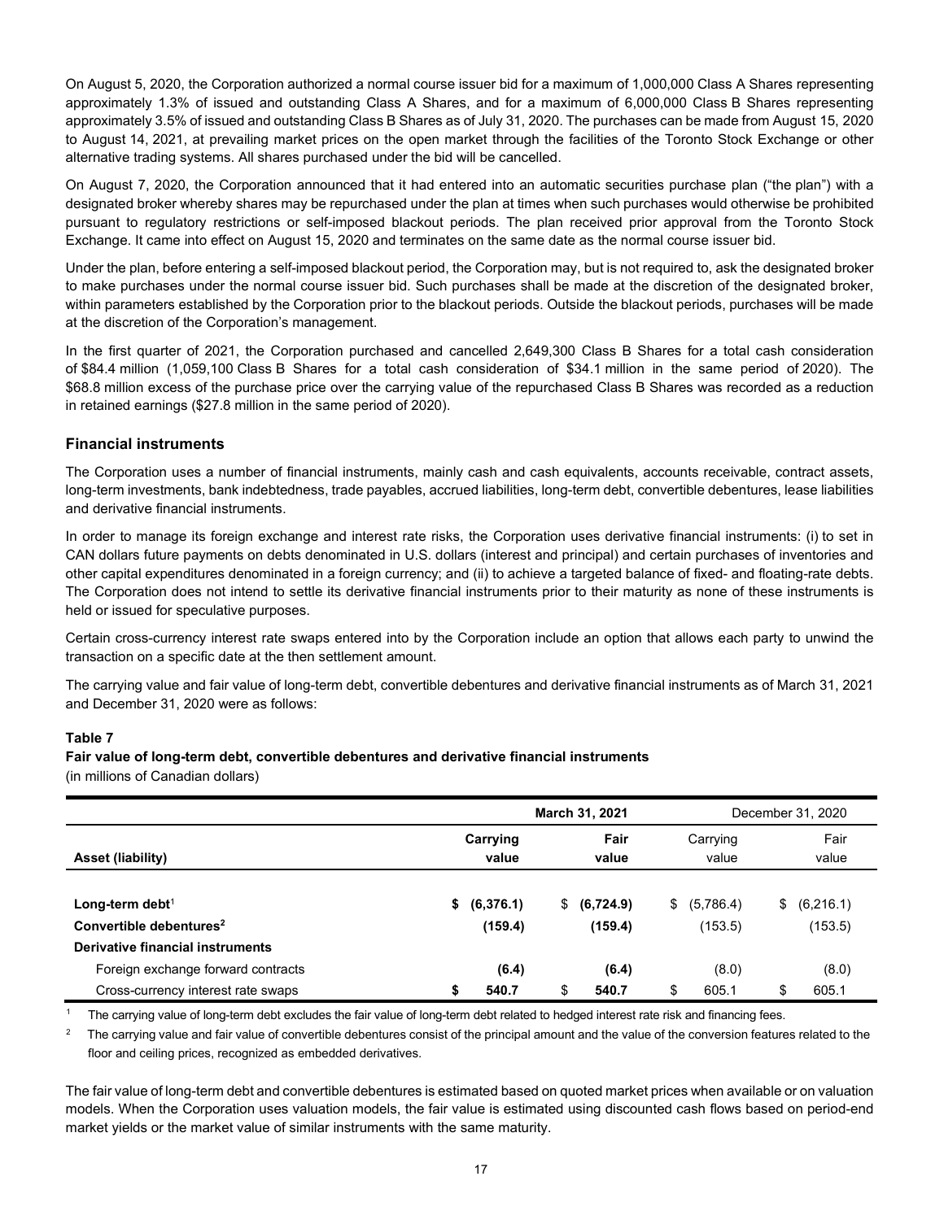On August 5, 2020, the Corporation authorized a normal course issuer bid for a maximum of 1,000,000 Class A Shares representing approximately 1.3% of issued and outstanding Class A Shares, and for a maximum of 6,000,000 Class B Shares representing approximately 3.5% of issued and outstanding Class B Shares as of July 31, 2020. The purchases can be made from August 15, 2020 to August 14, 2021, at prevailing market prices on the open market through the facilities of the Toronto Stock Exchange or other alternative trading systems. All shares purchased under the bid will be cancelled.

On August 7, 2020, the Corporation announced that it had entered into an automatic securities purchase plan ("the plan") with a designated broker whereby shares may be repurchased under the plan at times when such purchases would otherwise be prohibited pursuant to regulatory restrictions or self-imposed blackout periods. The plan received prior approval from the Toronto Stock Exchange. It came into effect on August 15, 2020 and terminates on the same date as the normal course issuer bid.

Under the plan, before entering a self-imposed blackout period, the Corporation may, but is not required to, ask the designated broker to make purchases under the normal course issuer bid. Such purchases shall be made at the discretion of the designated broker, within parameters established by the Corporation prior to the blackout periods. Outside the blackout periods, purchases will be made at the discretion of the Corporation's management.

In the first quarter of 2021, the Corporation purchased and cancelled 2,649,300 Class B Shares for a total cash consideration of \$84.4 million (1,059,100 Class B Shares for a total cash consideration of \$34.1 million in the same period of 2020). The \$68.8 million excess of the purchase price over the carrying value of the repurchased Class B Shares was recorded as a reduction in retained earnings (\$27.8 million in the same period of 2020).

## **Financial instruments**

The Corporation uses a number of financial instruments, mainly cash and cash equivalents, accounts receivable, contract assets, long-term investments, bank indebtedness, trade payables, accrued liabilities, long-term debt, convertible debentures, lease liabilities and derivative financial instruments.

In order to manage its foreign exchange and interest rate risks, the Corporation uses derivative financial instruments: (i) to set in CAN dollars future payments on debts denominated in U.S. dollars (interest and principal) and certain purchases of inventories and other capital expenditures denominated in a foreign currency; and (ii) to achieve a targeted balance of fixed- and floating-rate debts. The Corporation does not intend to settle its derivative financial instruments prior to their maturity as none of these instruments is held or issued for speculative purposes.

Certain cross-currency interest rate swaps entered into by the Corporation include an option that allows each party to unwind the transaction on a specific date at the then settlement amount.

The carrying value and fair value of long-term debt, convertible debentures and derivative financial instruments as of March 31, 2021 and December 31, 2020 were as follows:

## **Table 7**

## **Fair value of long-term debt, convertible debentures and derivative financial instruments**

(in millions of Canadian dollars)

|                                                                          | March 31, 2021 |                      |    |                      | December 31, 2020 |                         |    |                      |
|--------------------------------------------------------------------------|----------------|----------------------|----|----------------------|-------------------|-------------------------|----|----------------------|
| Asset (liability)                                                        |                | Carrying<br>value    |    | Fair<br>value        |                   | Carrying<br>value       |    | Fair<br>value        |
| Long-term debt <sup>1</sup><br>Convertible debentures <sup>2</sup>       | S.             | (6,376.1)<br>(159.4) | S. | (6,724.9)<br>(159.4) |                   | \$ (5,786.4)<br>(153.5) | S. | (6,216.1)<br>(153.5) |
| Derivative financial instruments                                         |                |                      |    |                      |                   |                         |    |                      |
| Foreign exchange forward contracts<br>Cross-currency interest rate swaps |                | (6.4)<br>540.7       | \$ | (6.4)<br>540.7       | \$                | (8.0)<br>605.1          | \$ | (8.0)<br>605.1       |

<sup>1</sup> The carrying value of long-term debt excludes the fair value of long-term debt related to hedged interest rate risk and financing fees.

 $2$  The carrying value and fair value of convertible debentures consist of the principal amount and the value of the conversion features related to the floor and ceiling prices, recognized as embedded derivatives.

The fair value of long-term debt and convertible debentures is estimated based on quoted market prices when available or on valuation models. When the Corporation uses valuation models, the fair value is estimated using discounted cash flows based on period-end market yields or the market value of similar instruments with the same maturity.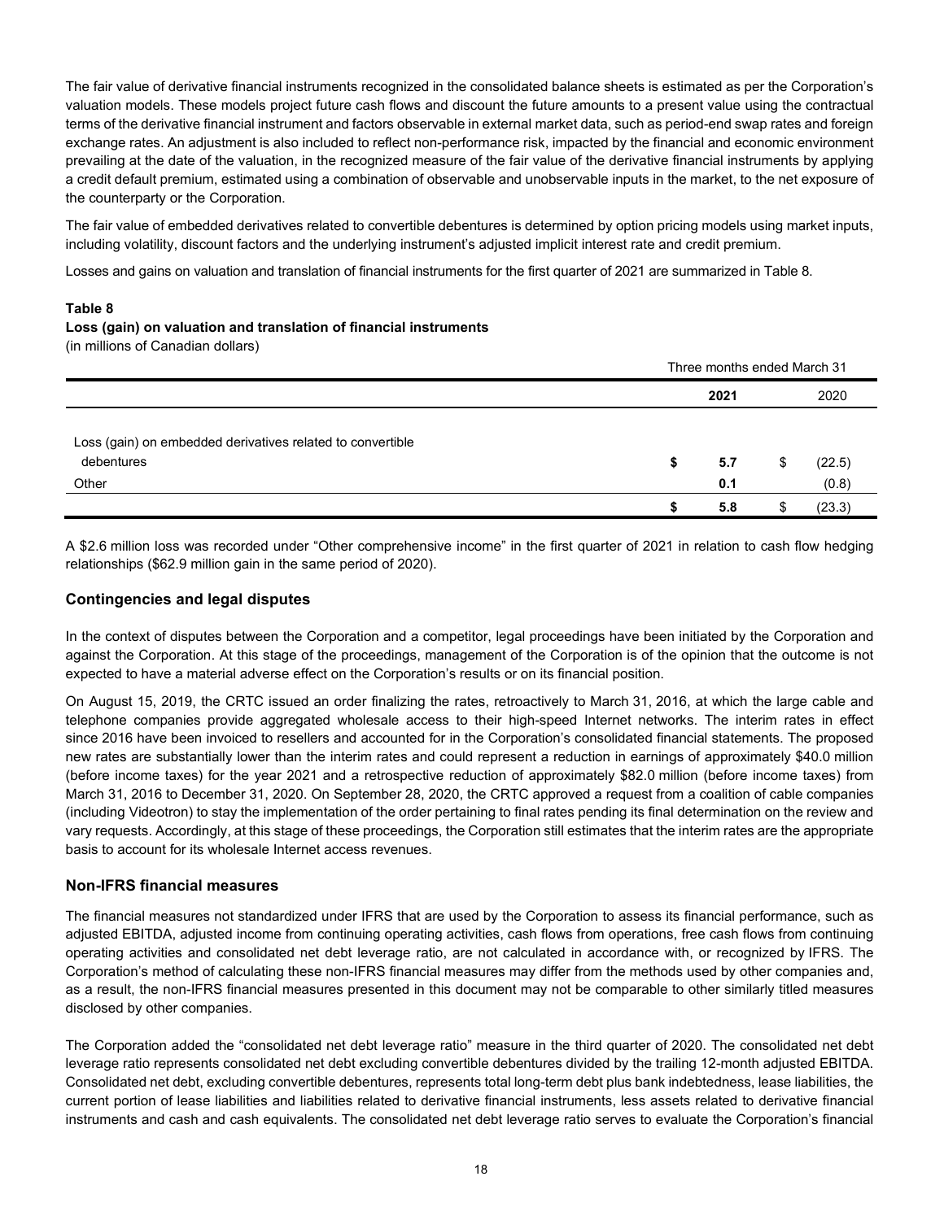The fair value of derivative financial instruments recognized in the consolidated balance sheets is estimated as per the Corporation's valuation models. These models project future cash flows and discount the future amounts to a present value using the contractual terms of the derivative financial instrument and factors observable in external market data, such as period-end swap rates and foreign exchange rates. An adjustment is also included to reflect non-performance risk, impacted by the financial and economic environment prevailing at the date of the valuation, in the recognized measure of the fair value of the derivative financial instruments by applying a credit default premium, estimated using a combination of observable and unobservable inputs in the market, to the net exposure of the counterparty or the Corporation.

The fair value of embedded derivatives related to convertible debentures is determined by option pricing models using market inputs, including volatility, discount factors and the underlying instrument's adjusted implicit interest rate and credit premium.

Losses and gains on valuation and translation of financial instruments for the first quarter of 2021 are summarized in Table 8.

#### **Table 8**

## **Loss (gain) on valuation and translation of financial instruments**

(in millions of Canadian dollars)

|                                                                                   | Three months ended March 31 |            |    |                 |  |  |  |
|-----------------------------------------------------------------------------------|-----------------------------|------------|----|-----------------|--|--|--|
|                                                                                   |                             | 2021       |    | 2020            |  |  |  |
| Loss (gain) on embedded derivatives related to convertible<br>debentures<br>Other | S                           | 5.7<br>0.1 | \$ | (22.5)<br>(0.8) |  |  |  |
|                                                                                   |                             | 5.8        |    | (23.3)          |  |  |  |

A \$2.6 million loss was recorded under "Other comprehensive income" in the first quarter of 2021 in relation to cash flow hedging relationships (\$62.9 million gain in the same period of 2020).

#### **Contingencies and legal disputes**

In the context of disputes between the Corporation and a competitor, legal proceedings have been initiated by the Corporation and against the Corporation. At this stage of the proceedings, management of the Corporation is of the opinion that the outcome is not expected to have a material adverse effect on the Corporation's results or on its financial position.

On August 15, 2019, the CRTC issued an order finalizing the rates, retroactively to March 31, 2016, at which the large cable and telephone companies provide aggregated wholesale access to their high-speed Internet networks. The interim rates in effect since 2016 have been invoiced to resellers and accounted for in the Corporation's consolidated financial statements. The proposed new rates are substantially lower than the interim rates and could represent a reduction in earnings of approximately \$40.0 million (before income taxes) for the year 2021 and a retrospective reduction of approximately \$82.0 million (before income taxes) from March 31, 2016 to December 31, 2020. On September 28, 2020, the CRTC approved a request from a coalition of cable companies (including Videotron) to stay the implementation of the order pertaining to final rates pending its final determination on the review and vary requests. Accordingly, at this stage of these proceedings, the Corporation still estimates that the interim rates are the appropriate basis to account for its wholesale Internet access revenues.

## **Non-IFRS financial measures**

The financial measures not standardized under IFRS that are used by the Corporation to assess its financial performance, such as adjusted EBITDA, adjusted income from continuing operating activities, cash flows from operations, free cash flows from continuing operating activities and consolidated net debt leverage ratio, are not calculated in accordance with, or recognized by IFRS. The Corporation's method of calculating these non-IFRS financial measures may differ from the methods used by other companies and, as a result, the non-IFRS financial measures presented in this document may not be comparable to other similarly titled measures disclosed by other companies.

The Corporation added the "consolidated net debt leverage ratio" measure in the third quarter of 2020. The consolidated net debt leverage ratio represents consolidated net debt excluding convertible debentures divided by the trailing 12-month adjusted EBITDA. Consolidated net debt, excluding convertible debentures, represents total long-term debt plus bank indebtedness, lease liabilities, the current portion of lease liabilities and liabilities related to derivative financial instruments, less assets related to derivative financial instruments and cash and cash equivalents. The consolidated net debt leverage ratio serves to evaluate the Corporation's financial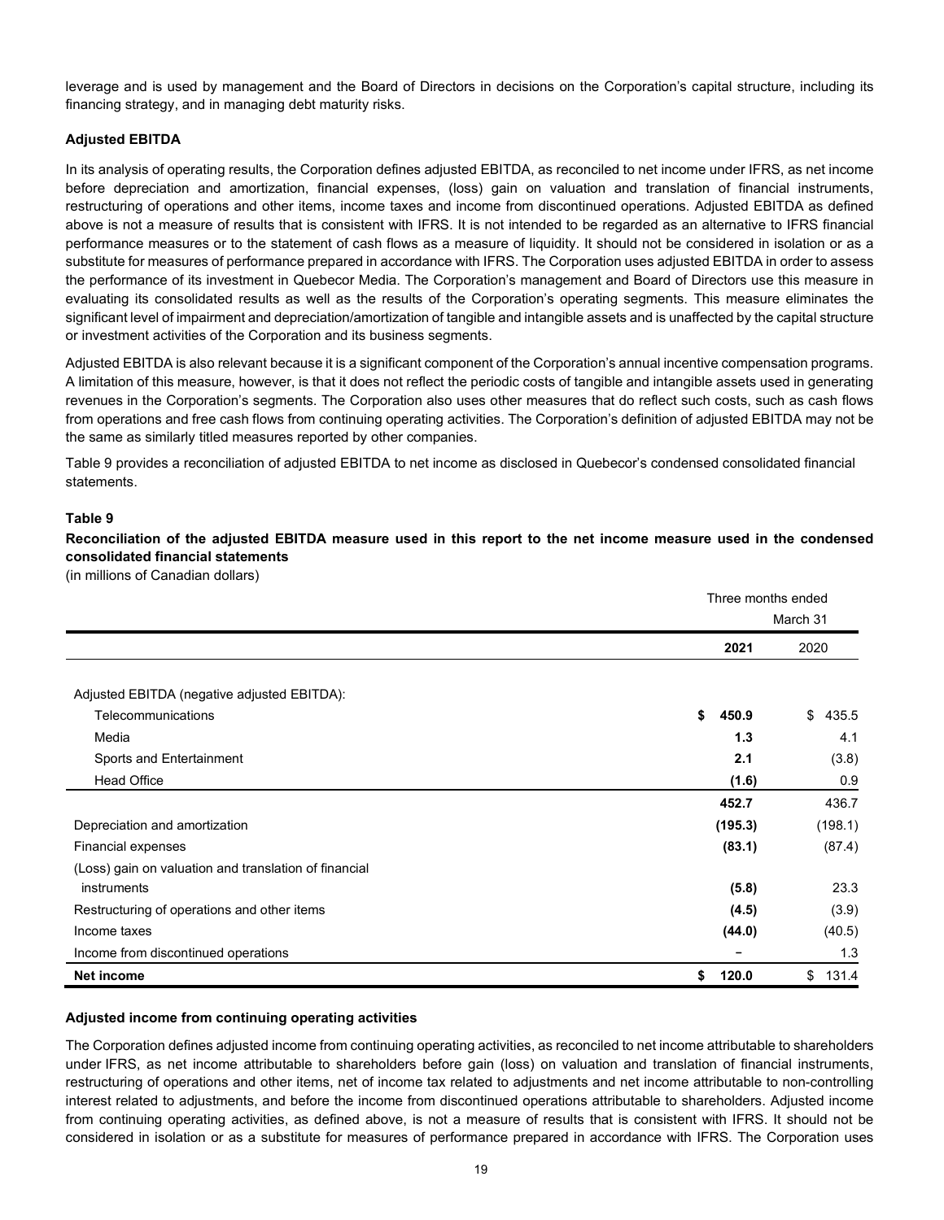leverage and is used by management and the Board of Directors in decisions on the Corporation's capital structure, including its financing strategy, and in managing debt maturity risks.

## **Adjusted EBITDA**

In its analysis of operating results, the Corporation defines adjusted EBITDA, as reconciled to net income under IFRS, as net income before depreciation and amortization, financial expenses, (loss) gain on valuation and translation of financial instruments, restructuring of operations and other items, income taxes and income from discontinued operations. Adjusted EBITDA as defined above is not a measure of results that is consistent with IFRS. It is not intended to be regarded as an alternative to IFRS financial performance measures or to the statement of cash flows as a measure of liquidity. It should not be considered in isolation or as a substitute for measures of performance prepared in accordance with IFRS. The Corporation uses adjusted EBITDA in order to assess the performance of its investment in Quebecor Media. The Corporation's management and Board of Directors use this measure in evaluating its consolidated results as well as the results of the Corporation's operating segments. This measure eliminates the significant level of impairment and depreciation/amortization of tangible and intangible assets and is unaffected by the capital structure or investment activities of the Corporation and its business segments.

Adjusted EBITDA is also relevant because it is a significant component of the Corporation's annual incentive compensation programs. A limitation of this measure, however, is that it does not reflect the periodic costs of tangible and intangible assets used in generating revenues in the Corporation's segments. The Corporation also uses other measures that do reflect such costs, such as cash flows from operations and free cash flows from continuing operating activities. The Corporation's definition of adjusted EBITDA may not be the same as similarly titled measures reported by other companies.

Table 9 provides a reconciliation of adjusted EBITDA to net income as disclosed in Quebecor's condensed consolidated financial statements.

#### **Table 9**

**Reconciliation of the adjusted EBITDA measure used in this report to the net income measure used in the condensed consolidated financial statements** 

(in millions of Canadian dollars)

|                                                       | Three months ended |             |  |  |  |
|-------------------------------------------------------|--------------------|-------------|--|--|--|
|                                                       |                    | March 31    |  |  |  |
|                                                       | 2021               | 2020        |  |  |  |
|                                                       |                    |             |  |  |  |
| Adjusted EBITDA (negative adjusted EBITDA):           |                    |             |  |  |  |
| Telecommunications                                    | \$<br>450.9        | \$435.5     |  |  |  |
| Media                                                 | 1.3                | 4.1         |  |  |  |
| Sports and Entertainment                              | 2.1                | (3.8)       |  |  |  |
| <b>Head Office</b>                                    | (1.6)              | 0.9         |  |  |  |
|                                                       | 452.7              | 436.7       |  |  |  |
| Depreciation and amortization                         | (195.3)            | (198.1)     |  |  |  |
| Financial expenses                                    | (83.1)             | (87.4)      |  |  |  |
| (Loss) gain on valuation and translation of financial |                    |             |  |  |  |
| instruments                                           | (5.8)              | 23.3        |  |  |  |
| Restructuring of operations and other items           | (4.5)              | (3.9)       |  |  |  |
| Income taxes                                          | (44.0)             | (40.5)      |  |  |  |
| Income from discontinued operations                   |                    | 1.3         |  |  |  |
| Net income                                            | 120.0<br>\$        | 131.4<br>\$ |  |  |  |

#### **Adjusted income from continuing operating activities**

The Corporation defines adjusted income from continuing operating activities, as reconciled to net income attributable to shareholders under IFRS, as net income attributable to shareholders before gain (loss) on valuation and translation of financial instruments, restructuring of operations and other items, net of income tax related to adjustments and net income attributable to non-controlling interest related to adjustments, and before the income from discontinued operations attributable to shareholders. Adjusted income from continuing operating activities, as defined above, is not a measure of results that is consistent with IFRS. It should not be considered in isolation or as a substitute for measures of performance prepared in accordance with IFRS. The Corporation uses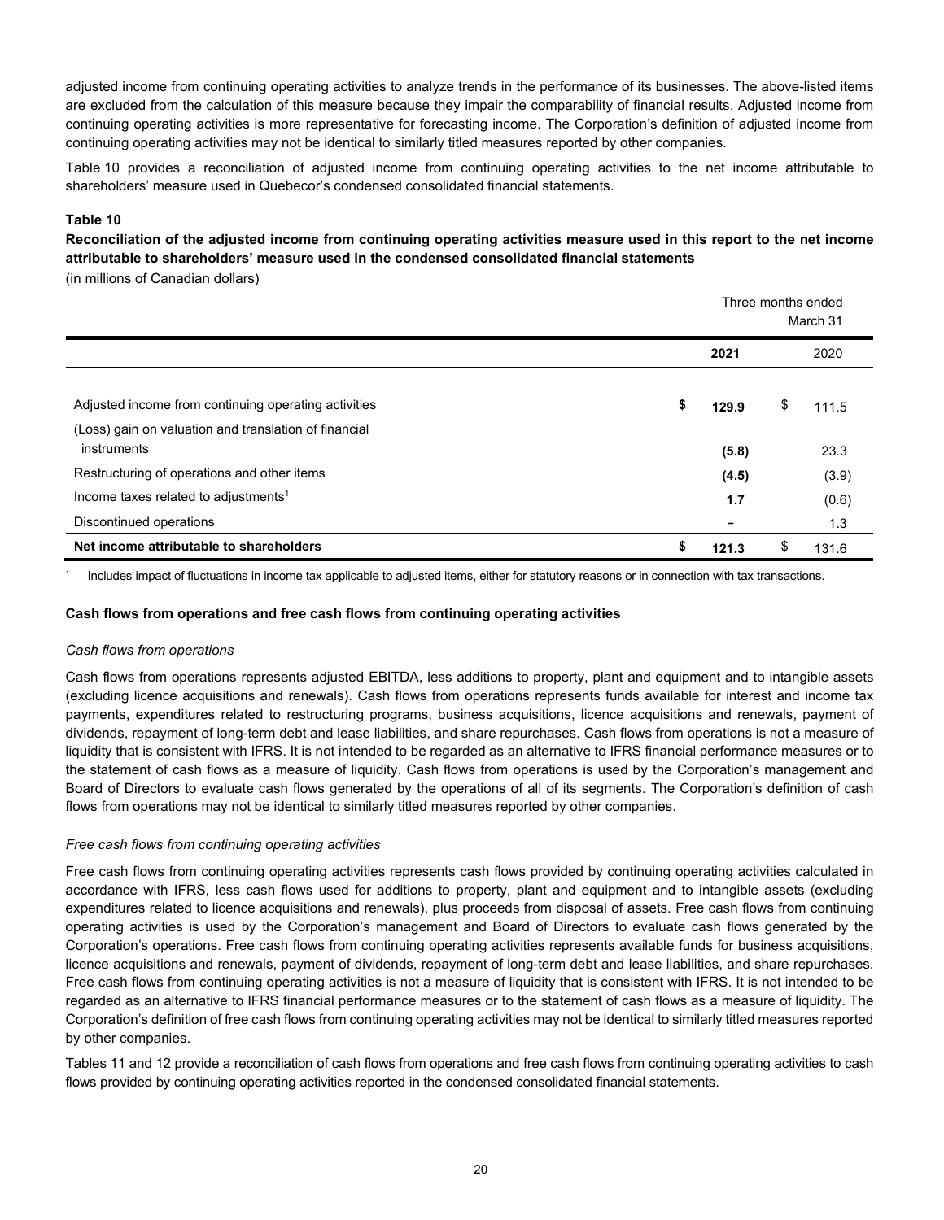adjusted income from continuing operating activities to analyze trends in the performance of its businesses. The above-listed items are excluded from the calculation of this measure because they impair the comparability of financial results. Adjusted income from continuing operating activities is more representative for forecasting income. The Corporation's definition of adjusted income from continuing operating activities may not be identical to similarly titled measures reported by other companies.

Table 10 provides a reconciliation of adjusted income from continuing operating activities to the net income attributable to shareholders' measure used in Quebecor's condensed consolidated financial statements.

#### **Table 10**

**Reconciliation of the adjusted income from continuing operating activities measure used in this report to the net income attributable to shareholders' measure used in the condensed consolidated financial statements**

(in millions of Canadian dollars)

|                                                                      |    | Three months ended<br>March 31 |    |       |  |  |  |
|----------------------------------------------------------------------|----|--------------------------------|----|-------|--|--|--|
|                                                                      |    | 2021                           |    | 2020  |  |  |  |
| Adjusted income from continuing operating activities                 | \$ | 129.9                          | \$ | 111.5 |  |  |  |
| (Loss) gain on valuation and translation of financial<br>instruments |    | (5.8)                          |    | 23.3  |  |  |  |
| Restructuring of operations and other items                          |    | (4.5)                          |    | (3.9) |  |  |  |
| Income taxes related to adjustments <sup>1</sup>                     |    | 1.7                            |    | (0.6) |  |  |  |
| Discontinued operations                                              |    |                                |    | 1.3   |  |  |  |
| Net income attributable to shareholders                              | S  | 121.3                          | \$ | 131.6 |  |  |  |

<sup>1</sup> Includes impact of fluctuations in income tax applicable to adjusted items, either for statutory reasons or in connection with tax transactions.

#### **Cash flows from operations and free cash flows from continuing operating activities**

#### *Cash flows from operations*

Cash flows from operations represents adjusted EBITDA, less additions to property, plant and equipment and to intangible assets (excluding licence acquisitions and renewals). Cash flows from operations represents funds available for interest and income tax payments, expenditures related to restructuring programs, business acquisitions, licence acquisitions and renewals, payment of dividends, repayment of long-term debt and lease liabilities, and share repurchases. Cash flows from operations is not a measure of liquidity that is consistent with IFRS. It is not intended to be regarded as an alternative to IFRS financial performance measures or to the statement of cash flows as a measure of liquidity. Cash flows from operations is used by the Corporation's management and Board of Directors to evaluate cash flows generated by the operations of all of its segments. The Corporation's definition of cash flows from operations may not be identical to similarly titled measures reported by other companies.

#### *Free cash flows from continuing operating activities*

Free cash flows from continuing operating activities represents cash flows provided by continuing operating activities calculated in accordance with IFRS, less cash flows used for additions to property, plant and equipment and to intangible assets (excluding expenditures related to licence acquisitions and renewals), plus proceeds from disposal of assets. Free cash flows from continuing operating activities is used by the Corporation's management and Board of Directors to evaluate cash flows generated by the Corporation's operations. Free cash flows from continuing operating activities represents available funds for business acquisitions, licence acquisitions and renewals, payment of dividends, repayment of long-term debt and lease liabilities, and share repurchases. Free cash flows from continuing operating activities is not a measure of liquidity that is consistent with IFRS. It is not intended to be regarded as an alternative to IFRS financial performance measures or to the statement of cash flows as a measure of liquidity. The Corporation's definition of free cash flows from continuing operating activities may not be identical to similarly titled measures reported by other companies.

Tables 11 and 12 provide a reconciliation of cash flows from operations and free cash flows from continuing operating activities to cash flows provided by continuing operating activities reported in the condensed consolidated financial statements.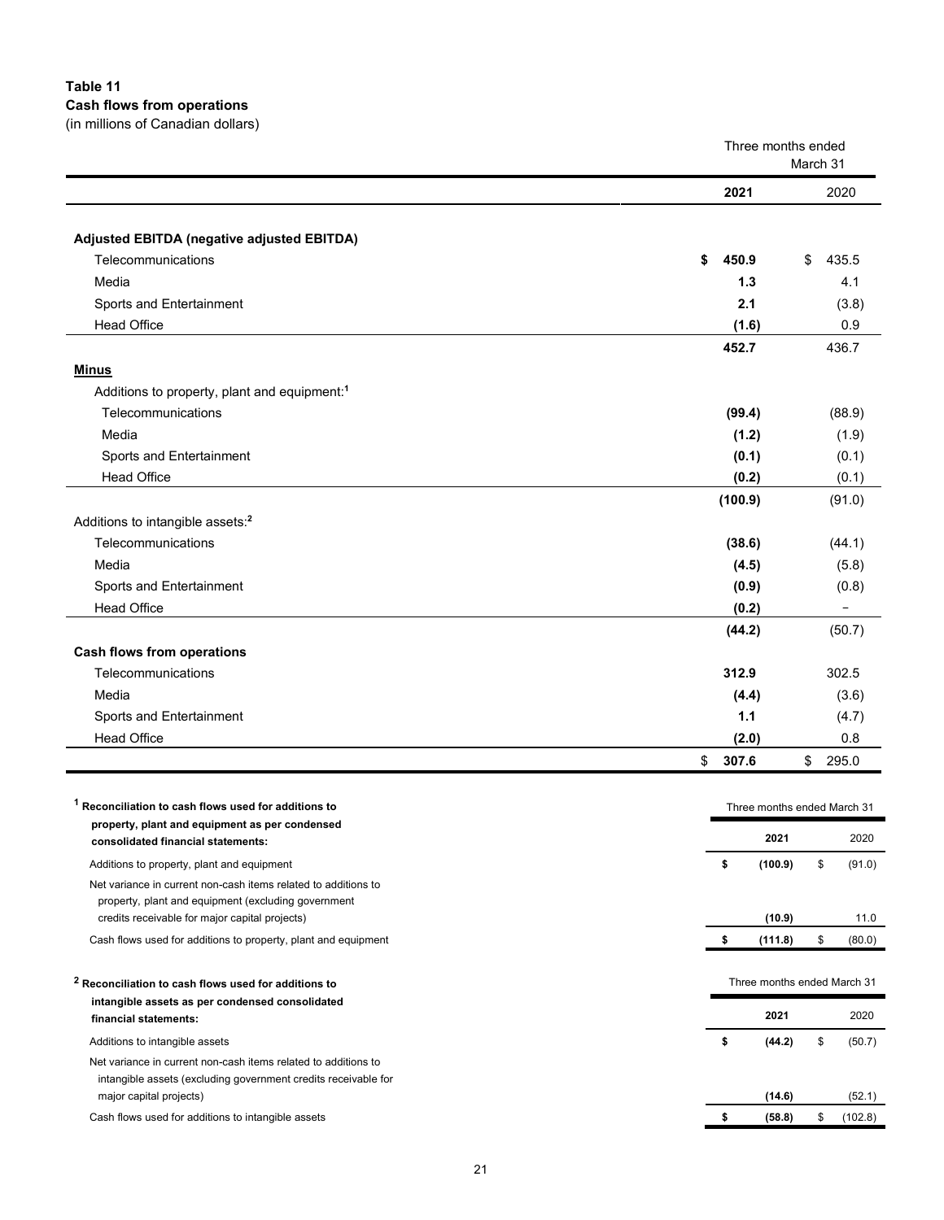## **Table 11**

**Cash flows from operations** 

| (in millions of Canadian dollars)                                                    |                                |    |        |
|--------------------------------------------------------------------------------------|--------------------------------|----|--------|
|                                                                                      | Three months ended<br>March 31 |    |        |
|                                                                                      | 2021                           |    | 2020   |
| Adjusted EBITDA (negative adjusted EBITDA)                                           |                                |    |        |
| Telecommunications                                                                   | \$<br>450.9                    | \$ | 435.5  |
| Media                                                                                | 1.3                            |    | 4.1    |
| Sports and Entertainment                                                             | 2.1                            |    | (3.8)  |
| <b>Head Office</b>                                                                   | (1.6)                          |    | 0.9    |
|                                                                                      | 452.7                          |    | 436.7  |
| <b>Minus</b>                                                                         |                                |    |        |
| Additions to property, plant and equipment: <sup>1</sup>                             |                                |    |        |
| Telecommunications                                                                   | (99.4)                         |    | (88.9) |
| Media                                                                                | (1.2)                          |    | (1.9)  |
| Sports and Entertainment                                                             | (0.1)                          |    | (0.1)  |
| <b>Head Office</b>                                                                   | (0.2)                          |    | (0.1)  |
|                                                                                      | (100.9)                        |    | (91.0) |
| Additions to intangible assets: <sup>2</sup>                                         |                                |    |        |
| Telecommunications                                                                   | (38.6)                         |    | (44.1) |
| Media                                                                                | (4.5)                          |    | (5.8)  |
| Sports and Entertainment                                                             | (0.9)                          |    | (0.8)  |
| <b>Head Office</b>                                                                   | (0.2)                          |    |        |
|                                                                                      | (44.2)                         |    | (50.7) |
| <b>Cash flows from operations</b>                                                    |                                |    |        |
| Telecommunications                                                                   | 312.9                          |    | 302.5  |
| Media                                                                                | (4.4)                          |    | (3.6)  |
| Sports and Entertainment                                                             | 1.1                            |    | (4.7)  |
| <b>Head Office</b>                                                                   | (2.0)                          |    | 0.8    |
|                                                                                      | \$<br>307.6                    | \$ | 295.0  |
|                                                                                      |                                |    |        |
| <sup>1</sup> Reconciliation to cash flows used for additions to                      | Three months ended March 31    |    |        |
| property, plant and equipment as per condensed<br>consolidated financial statements: | 2021<br>2020                   |    |        |

Additions to property, plant and equipment **\$ (100.9)** \$ (91.0) Net variance in current non-cash items related to additions to property, plant and equipment (excluding government credits receivable for major capital projects) **(10.9)** 11.0 Cash flows used for additions to property, plant and equipment **\$ (111.8)** \$ (80.0) **<sup>2</sup> Reconciliation to cash flows used for additions to intangible assets as per condensed consolidated financial statements:** Three months ended March 31 **2021** 2020 Additions to intangible assets **\$ (44.2)** \$ (50.7) Net variance in current non-cash items related to additions to intangible assets (excluding government credits receivable for major capital projects) **(14.6)** (52.1)

Cash flows used for additions to intangible assets **\$ (58.8)** \$ (102.8)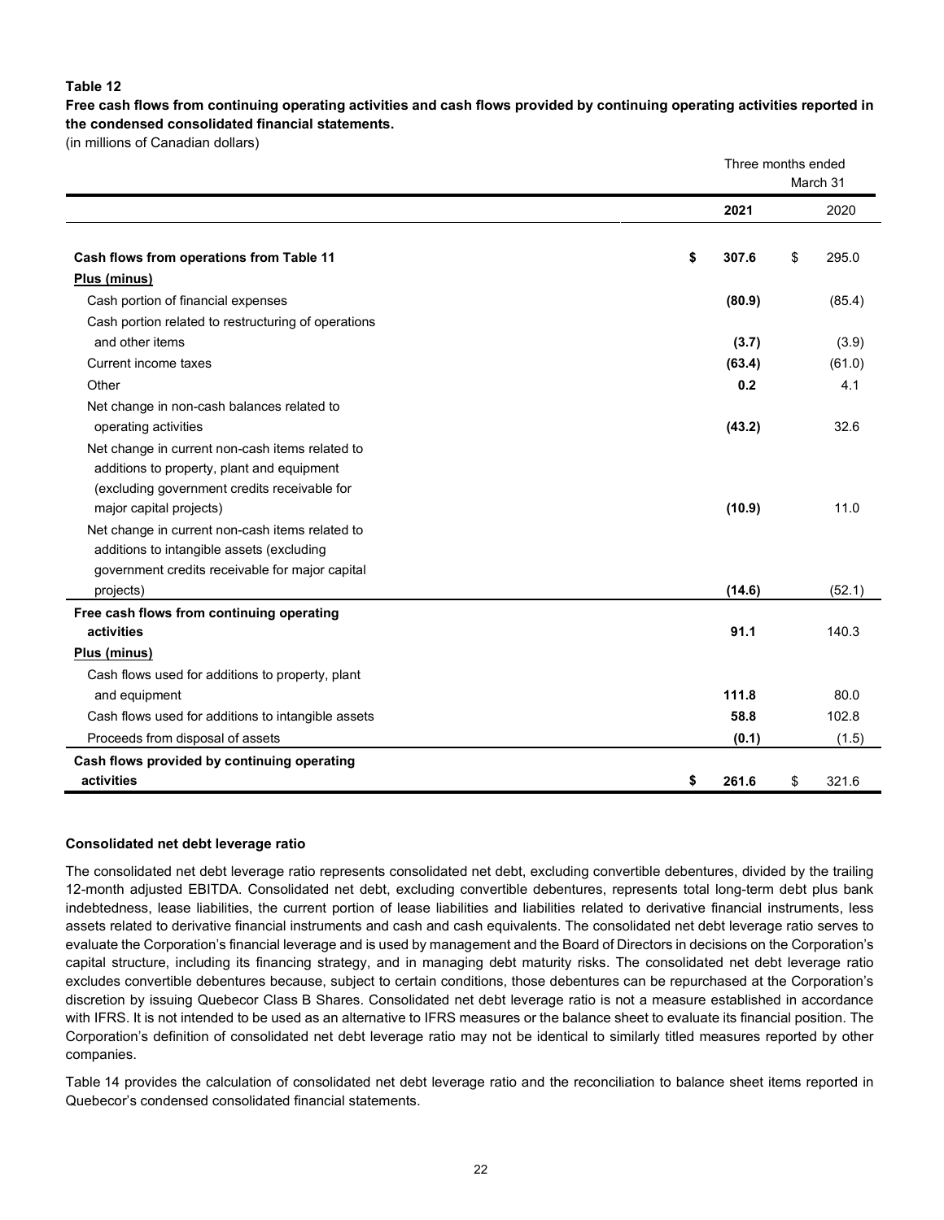#### **Table 12**

**Free cash flows from continuing operating activities and cash flows provided by continuing operating activities reported in the condensed consolidated financial statements.**

(in millions of Canadian dollars)

|                                                     | Three months ended<br>March 31 |    |        |  |  |
|-----------------------------------------------------|--------------------------------|----|--------|--|--|
|                                                     | 2021                           |    | 2020   |  |  |
| Cash flows from operations from Table 11            | \$<br>307.6                    | \$ | 295.0  |  |  |
| Plus (minus)                                        |                                |    |        |  |  |
| Cash portion of financial expenses                  | (80.9)                         |    | (85.4) |  |  |
| Cash portion related to restructuring of operations |                                |    |        |  |  |
| and other items                                     | (3.7)                          |    | (3.9)  |  |  |
| Current income taxes                                | (63.4)                         |    | (61.0) |  |  |
| Other                                               | 0.2                            |    | 4.1    |  |  |
| Net change in non-cash balances related to          |                                |    |        |  |  |
| operating activities                                | (43.2)                         |    | 32.6   |  |  |
| Net change in current non-cash items related to     |                                |    |        |  |  |
| additions to property, plant and equipment          |                                |    |        |  |  |
| (excluding government credits receivable for        |                                |    |        |  |  |
| major capital projects)                             | (10.9)                         |    | 11.0   |  |  |
| Net change in current non-cash items related to     |                                |    |        |  |  |
| additions to intangible assets (excluding           |                                |    |        |  |  |
| government credits receivable for major capital     |                                |    |        |  |  |
| projects)                                           | (14.6)                         |    | (52.1) |  |  |
| Free cash flows from continuing operating           |                                |    |        |  |  |
| activities                                          | 91.1                           |    | 140.3  |  |  |
| Plus (minus)                                        |                                |    |        |  |  |
| Cash flows used for additions to property, plant    |                                |    |        |  |  |
| and equipment                                       | 111.8                          |    | 80.0   |  |  |
| Cash flows used for additions to intangible assets  | 58.8                           |    | 102.8  |  |  |
| Proceeds from disposal of assets                    | (0.1)                          |    | (1.5)  |  |  |
| Cash flows provided by continuing operating         |                                |    |        |  |  |
| activities                                          | \$<br>261.6                    | \$ | 321.6  |  |  |

#### **Consolidated net debt leverage ratio**

The consolidated net debt leverage ratio represents consolidated net debt, excluding convertible debentures, divided by the trailing 12-month adjusted EBITDA. Consolidated net debt, excluding convertible debentures, represents total long-term debt plus bank indebtedness, lease liabilities, the current portion of lease liabilities and liabilities related to derivative financial instruments, less assets related to derivative financial instruments and cash and cash equivalents. The consolidated net debt leverage ratio serves to evaluate the Corporation's financial leverage and is used by management and the Board of Directors in decisions on the Corporation's capital structure, including its financing strategy, and in managing debt maturity risks. The consolidated net debt leverage ratio excludes convertible debentures because, subject to certain conditions, those debentures can be repurchased at the Corporation's discretion by issuing Quebecor Class B Shares. Consolidated net debt leverage ratio is not a measure established in accordance with IFRS. It is not intended to be used as an alternative to IFRS measures or the balance sheet to evaluate its financial position. The Corporation's definition of consolidated net debt leverage ratio may not be identical to similarly titled measures reported by other companies.

Table 14 provides the calculation of consolidated net debt leverage ratio and the reconciliation to balance sheet items reported in Quebecor's condensed consolidated financial statements.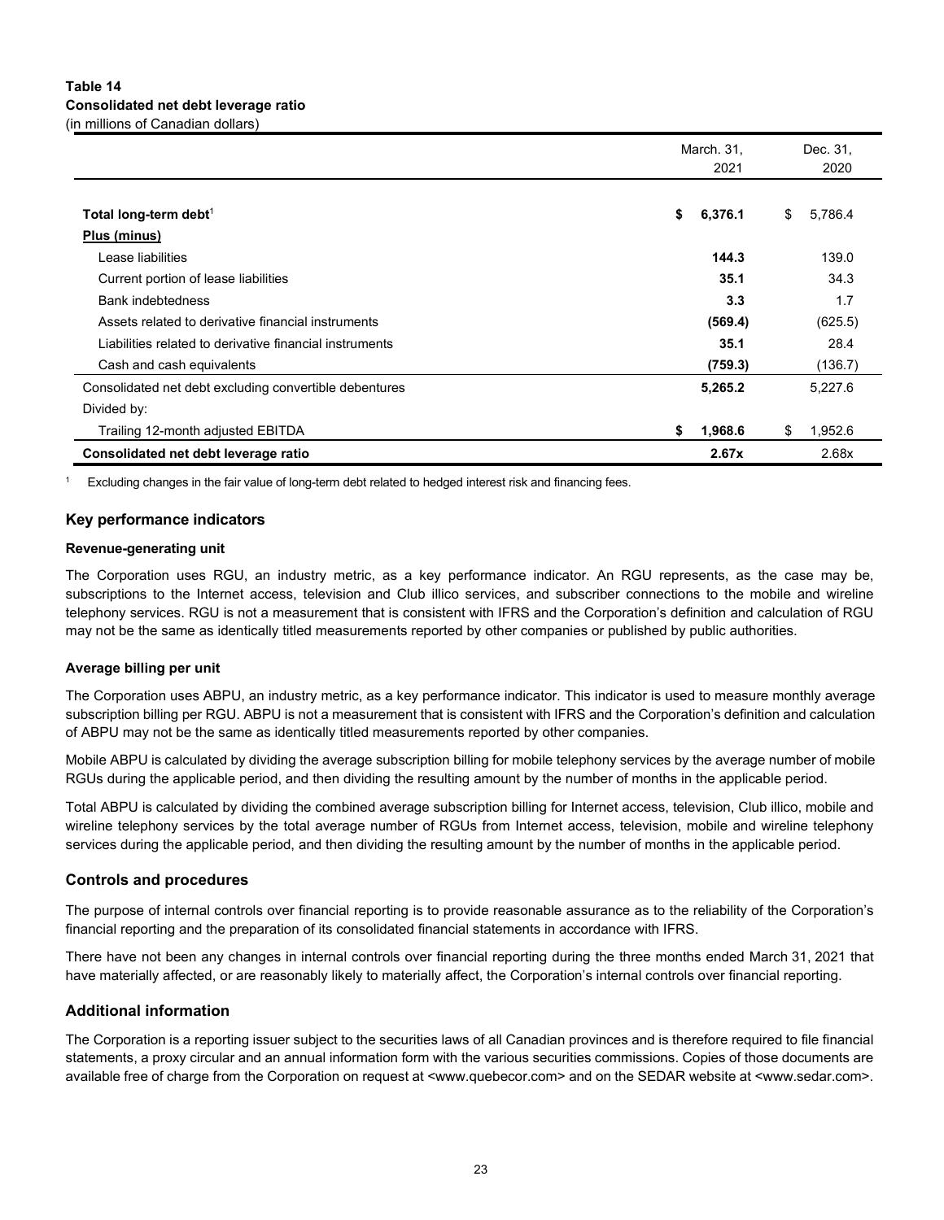## **Table 14 Consolidated net debt leverage ratio** (in millions of Canadian dollars)

|                                                         | March. 31,<br>2021 | Dec. 31,<br>2020 |  |  |
|---------------------------------------------------------|--------------------|------------------|--|--|
|                                                         |                    |                  |  |  |
| Total long-term debt <sup>1</sup>                       | \$<br>6,376.1      | 5,786.4<br>\$    |  |  |
| Plus (minus)                                            |                    |                  |  |  |
| Lease liabilities                                       | 144.3              | 139.0            |  |  |
| Current portion of lease liabilities                    | 35.1               | 34.3             |  |  |
| <b>Bank indebtedness</b>                                | 3.3                | 1.7              |  |  |
| Assets related to derivative financial instruments      | (569.4)            | (625.5)          |  |  |
| Liabilities related to derivative financial instruments | 35.1               | 28.4             |  |  |
| Cash and cash equivalents                               | (759.3)            | (136.7)          |  |  |
| Consolidated net debt excluding convertible debentures  | 5,265.2            | 5,227.6          |  |  |
| Divided by:                                             |                    |                  |  |  |
| Trailing 12-month adjusted EBITDA                       | \$<br>1,968.6      | 1,952.6<br>\$    |  |  |
| Consolidated net debt leverage ratio                    | 2.67x              | 2.68x            |  |  |

Excluding changes in the fair value of long-term debt related to hedged interest risk and financing fees.

## **Key performance indicators**

#### **Revenue-generating unit**

The Corporation uses RGU, an industry metric, as a key performance indicator. An RGU represents, as the case may be, subscriptions to the Internet access, television and Club illico services, and subscriber connections to the mobile and wireline telephony services. RGU is not a measurement that is consistent with IFRS and the Corporation's definition and calculation of RGU may not be the same as identically titled measurements reported by other companies or published by public authorities.

#### **Average billing per unit**

The Corporation uses ABPU, an industry metric, as a key performance indicator. This indicator is used to measure monthly average subscription billing per RGU. ABPU is not a measurement that is consistent with IFRS and the Corporation's definition and calculation of ABPU may not be the same as identically titled measurements reported by other companies.

Mobile ABPU is calculated by dividing the average subscription billing for mobile telephony services by the average number of mobile RGUs during the applicable period, and then dividing the resulting amount by the number of months in the applicable period.

Total ABPU is calculated by dividing the combined average subscription billing for Internet access, television, Club illico, mobile and wireline telephony services by the total average number of RGUs from Internet access, television, mobile and wireline telephony services during the applicable period, and then dividing the resulting amount by the number of months in the applicable period.

#### **Controls and procedures**

The purpose of internal controls over financial reporting is to provide reasonable assurance as to the reliability of the Corporation's financial reporting and the preparation of its consolidated financial statements in accordance with IFRS.

There have not been any changes in internal controls over financial reporting during the three months ended March 31, 2021 that have materially affected, or are reasonably likely to materially affect, the Corporation's internal controls over financial reporting.

## **Additional information**

The Corporation is a reporting issuer subject to the securities laws of all Canadian provinces and is therefore required to file financial statements, a proxy circular and an annual information form with the various securities commissions. Copies of those documents are available free of charge from the Corporation on request at <www.quebecor.com> and on the SEDAR website at <www.sedar.com>.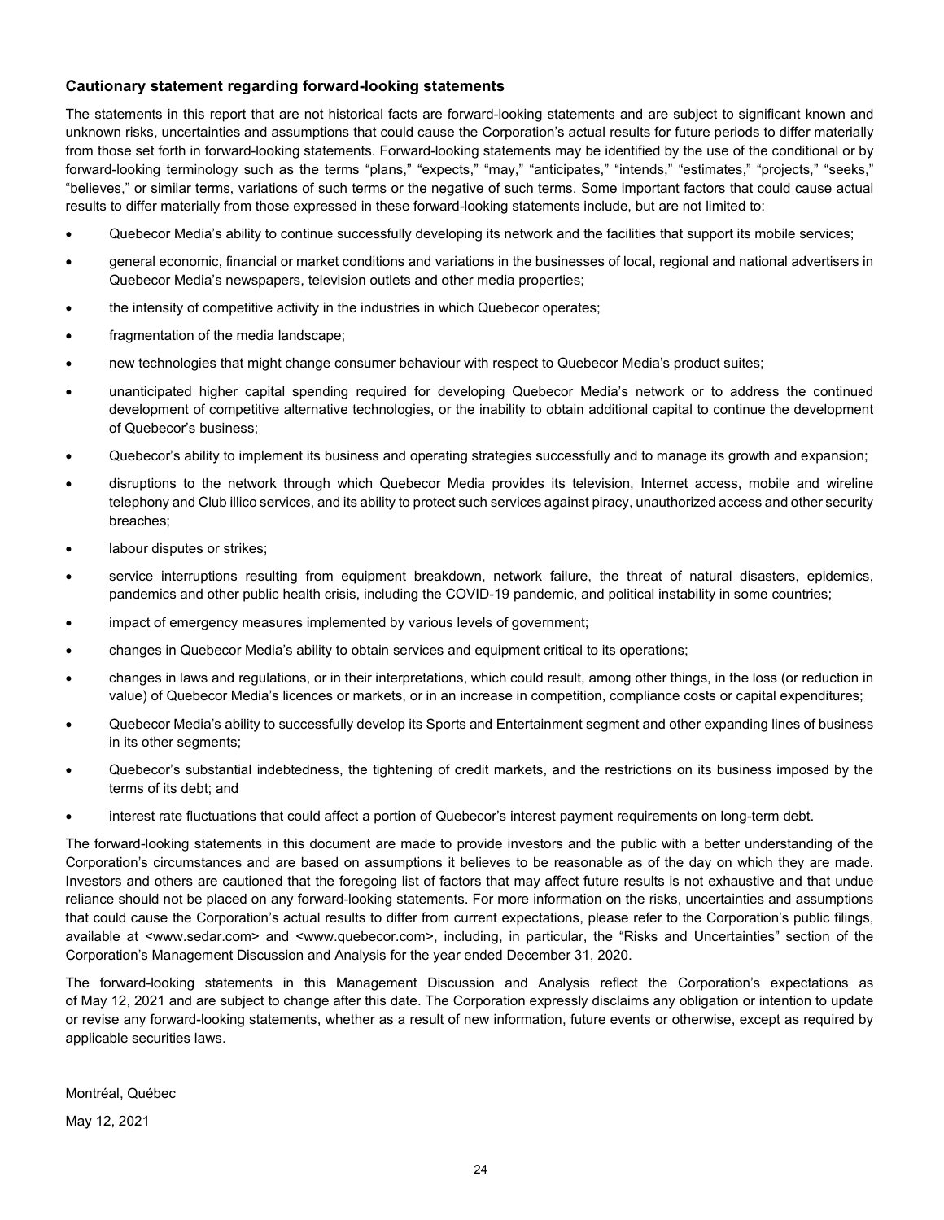## **Cautionary statement regarding forward-looking statements**

The statements in this report that are not historical facts are forward-looking statements and are subject to significant known and unknown risks, uncertainties and assumptions that could cause the Corporation's actual results for future periods to differ materially from those set forth in forward-looking statements. Forward-looking statements may be identified by the use of the conditional or by forward-looking terminology such as the terms "plans," "expects," "may," "anticipates," "intends," "estimates," "projects," "seeks," "believes," or similar terms, variations of such terms or the negative of such terms. Some important factors that could cause actual results to differ materially from those expressed in these forward-looking statements include, but are not limited to:

- Quebecor Media's ability to continue successfully developing its network and the facilities that support its mobile services;
- general economic, financial or market conditions and variations in the businesses of local, regional and national advertisers in Quebecor Media's newspapers, television outlets and other media properties;
- the intensity of competitive activity in the industries in which Quebecor operates;
- fragmentation of the media landscape;
- new technologies that might change consumer behaviour with respect to Quebecor Media's product suites;
- unanticipated higher capital spending required for developing Quebecor Media's network or to address the continued development of competitive alternative technologies, or the inability to obtain additional capital to continue the development of Quebecor's business;
- Quebecor's ability to implement its business and operating strategies successfully and to manage its growth and expansion;
- disruptions to the network through which Quebecor Media provides its television, Internet access, mobile and wireline telephony and Club illico services, and its ability to protect such services against piracy, unauthorized access and other security breaches;
- labour disputes or strikes;
- service interruptions resulting from equipment breakdown, network failure, the threat of natural disasters, epidemics, pandemics and other public health crisis, including the COVID-19 pandemic, and political instability in some countries;
- impact of emergency measures implemented by various levels of government;
- changes in Quebecor Media's ability to obtain services and equipment critical to its operations;
- changes in laws and regulations, or in their interpretations, which could result, among other things, in the loss (or reduction in value) of Quebecor Media's licences or markets, or in an increase in competition, compliance costs or capital expenditures;
- Quebecor Media's ability to successfully develop its Sports and Entertainment segment and other expanding lines of business in its other segments;
- Quebecor's substantial indebtedness, the tightening of credit markets, and the restrictions on its business imposed by the terms of its debt; and
- interest rate fluctuations that could affect a portion of Quebecor's interest payment requirements on long-term debt.

The forward-looking statements in this document are made to provide investors and the public with a better understanding of the Corporation's circumstances and are based on assumptions it believes to be reasonable as of the day on which they are made. Investors and others are cautioned that the foregoing list of factors that may affect future results is not exhaustive and that undue reliance should not be placed on any forward-looking statements. For more information on the risks, uncertainties and assumptions that could cause the Corporation's actual results to differ from current expectations, please refer to the Corporation's public filings, available at <www.sedar.com> and <www.quebecor.com>, including, in particular, the "Risks and Uncertainties" section of the Corporation's Management Discussion and Analysis for the year ended December 31, 2020.

The forward-looking statements in this Management Discussion and Analysis reflect the Corporation's expectations as of May 12, 2021 and are subject to change after this date. The Corporation expressly disclaims any obligation or intention to update or revise any forward-looking statements, whether as a result of new information, future events or otherwise, except as required by applicable securities laws.

Montréal, Québec

May 12, 2021